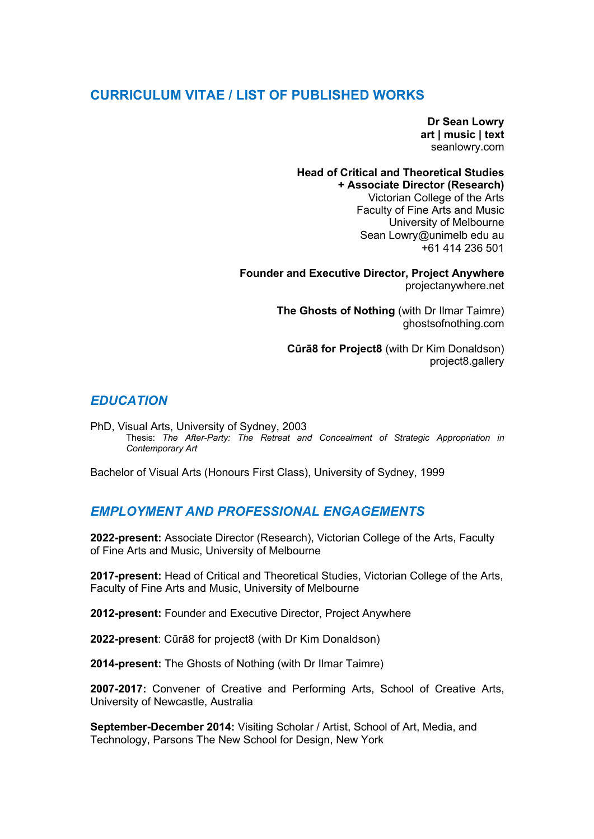# **CURRICULUM VITAE / LIST OF PUBLISHED WORKS**

**Dr Sean Lowry art | music | text** seanlowry.com

#### **Head of Critical and Theoretical Studies + Associate Director (Research)**

Victorian College of the Arts Faculty of Fine Arts and Music University of Melbourne Sean Lowry@unimelb edu au +61 414 236 501

**Founder and Executive Director, Project Anywhere** projectanywhere.net

> **The Ghosts of Nothing** (with Dr Ilmar Taimre) ghostsofnothing.com

**Cūrā8 for Project8** (with Dr Kim Donaldson) project8.gallery

# *EDUCATION*

PhD, Visual Arts, University of Sydney, 2003 Thesis: *The After-Party: The Retreat and Concealment of Strategic Appropriation in Contemporary Art*

Bachelor of Visual Arts (Honours First Class), University of Sydney, 1999

# *EMPLOYMENT AND PROFESSIONAL ENGAGEMENTS*

**2022-present:** Associate Director (Research), Victorian College of the Arts, Faculty of Fine Arts and Music, University of Melbourne

**2017-present:** Head of Critical and Theoretical Studies, Victorian College of the Arts, Faculty of Fine Arts and Music, University of Melbourne

**2012-present:** Founder and Executive Director, Project Anywhere

**2022-present**: Cūrā8 for project8 (with Dr Kim Donaldson)

**2014-present:** The Ghosts of Nothing (with Dr Ilmar Taimre)

**2007-2017:** Convener of Creative and Performing Arts, School of Creative Arts, University of Newcastle, Australia

**September-December 2014:** Visiting Scholar / Artist, School of Art, Media, and Technology, Parsons The New School for Design, New York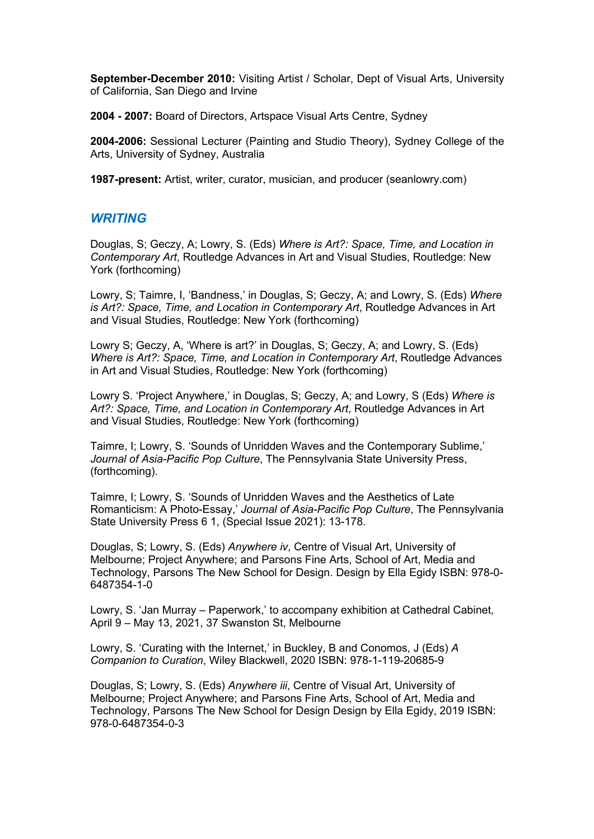**September-December 2010:** Visiting Artist / Scholar, Dept of Visual Arts, University of California, San Diego and Irvine

**2004 - 2007:** Board of Directors, Artspace Visual Arts Centre, Sydney

**2004-2006:** Sessional Lecturer (Painting and Studio Theory), Sydney College of the Arts, University of Sydney, Australia

**1987-present:** Artist, writer, curator, musician, and producer (seanlowry.com)

#### *WRITING*

Douglas, S; Geczy, A; Lowry, S. (Eds) *Where is Art?: Space, Time, and Location in Contemporary Art*, Routledge Advances in Art and Visual Studies, Routledge: New York (forthcoming)

Lowry, S; Taimre, I, 'Bandness,' in Douglas, S; Geczy, A; and Lowry, S. (Eds) *Where is Art?: Space, Time, and Location in Contemporary Art*, Routledge Advances in Art and Visual Studies, Routledge: New York (forthcoming)

Lowry S; Geczy, A, 'Where is art?' in Douglas, S; Geczy, A; and Lowry, S. (Eds) *Where is Art?: Space, Time, and Location in Contemporary Art*, Routledge Advances in Art and Visual Studies, Routledge: New York (forthcoming)

Lowry S. 'Project Anywhere,' in Douglas, S; Geczy, A; and Lowry, S (Eds) *Where is Art?: Space, Time, and Location in Contemporary Art*, Routledge Advances in Art and Visual Studies, Routledge: New York (forthcoming)

Taimre, I; Lowry, S. 'Sounds of Unridden Waves and the Contemporary Sublime,' *Journal of Asia-Pacific Pop Culture*, The Pennsylvania State University Press, (forthcoming).

Taimre, I; Lowry, S. 'Sounds of Unridden Waves and the Aesthetics of Late Romanticism: A Photo-Essay,' *Journal of Asia-Pacific Pop Culture*, The Pennsylvania State University Press 6 1, (Special Issue 2021): 13-178.

Douglas, S; Lowry, S. (Eds) *Anywhere iv*, Centre of Visual Art, University of Melbourne; Project Anywhere; and Parsons Fine Arts, School of Art, Media and Technology, Parsons The New School for Design. Design by Ella Egidy ISBN: 978-0- 6487354-1-0

Lowry, S. 'Jan Murray – Paperwork,' to accompany exhibition at Cathedral Cabinet, April 9 – May 13, 2021, 37 Swanston St, Melbourne

Lowry, S. 'Curating with the Internet,' in Buckley, B and Conomos, J (Eds) *A Companion to Curation*, Wiley Blackwell, 2020 ISBN: 978-1-119-20685-9

Douglas, S; Lowry, S. (Eds) *Anywhere iii*, Centre of Visual Art, University of Melbourne; Project Anywhere; and Parsons Fine Arts, School of Art, Media and Technology, Parsons The New School for Design Design by Ella Egidy, 2019 ISBN: 978-0-6487354-0-3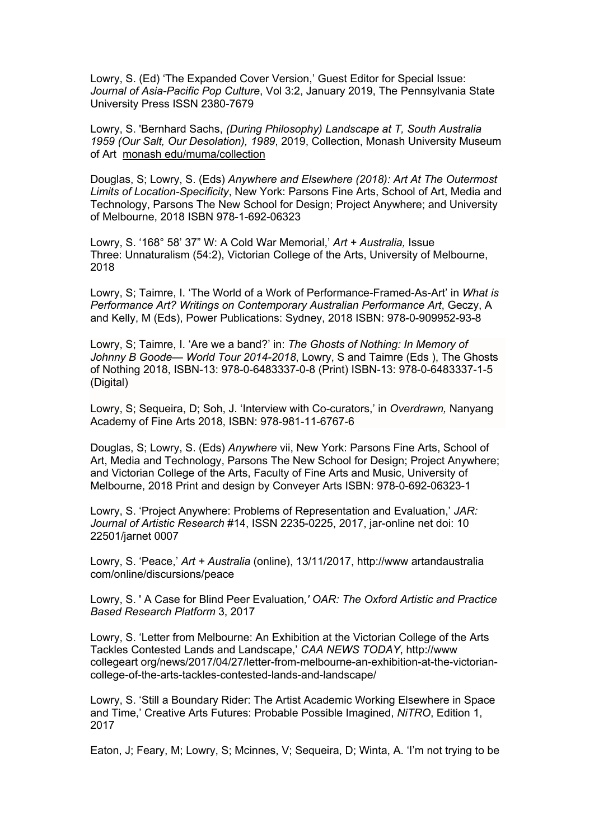Lowry, S. (Ed) 'The Expanded Cover Version,' Guest Editor for Special Issue: *Journal of Asia-Pacific Pop Culture*, Vol 3:2, January 2019, The Pennsylvania State University Press ISSN 2380-7679

Lowry, S. 'Bernhard Sachs, *(During Philosophy) Landscape at T, South Australia 1959 (Our Salt, Our Desolation), 1989*, 2019, Collection, Monash University Museum of Art monash edu/muma/collection

Douglas, S; Lowry, S. (Eds) *Anywhere and Elsewhere (2018): Art At The Outermost Limits of Location-Specificity*, New York: Parsons Fine Arts, School of Art, Media and Technology, Parsons The New School for Design; Project Anywhere; and University of Melbourne, 2018 ISBN 978-1-692-06323

Lowry, S. '168° 58' 37" W: A Cold War Memorial,' *Art + Australia,* Issue Three: Unnaturalism (54:2), Victorian College of the Arts, University of Melbourne, 2018

Lowry, S; Taimre, I. 'The World of a Work of Performance-Framed-As-Art' in *What is Performance Art? Writings on Contemporary Australian Performance Art*, Geczy, A and Kelly, M (Eds), Power Publications: Sydney, 2018 ISBN: 978-0-909952-93-8

Lowry, S; Taimre, I. 'Are we a band?' in: *The Ghosts of Nothing: In Memory of Johnny B Goode— World Tour 2014-2018*, Lowry, S and Taimre (Eds ), The Ghosts of Nothing 2018, ISBN-13: 978-0-6483337-0-8 (Print) ISBN-13: 978-0-6483337-1-5 (Digital)

Lowry, S; Sequeira, D; Soh, J. 'Interview with Co-curators,' in *Overdrawn,* Nanyang Academy of Fine Arts 2018, ISBN: 978-981-11-6767-6

Douglas, S; Lowry, S. (Eds) *Anywhere* vii, New York: Parsons Fine Arts, School of Art, Media and Technology, Parsons The New School for Design; Project Anywhere; and Victorian College of the Arts, Faculty of Fine Arts and Music, University of Melbourne, 2018 Print and design by Conveyer Arts ISBN: 978-0-692-06323-1

Lowry, S. 'Project Anywhere: Problems of Representation and Evaluation,' *JAR: Journal of Artistic Research* #14, ISSN 2235-0225, 2017, jar-online net doi: 10 22501/jarnet 0007

Lowry, S. 'Peace,' *Art + Australia* (online), 13/11/2017, http://www artandaustralia com/online/discursions/peace

Lowry, S. ' A Case for Blind Peer Evaluation*,' OAR: The Oxford Artistic and Practice Based Research Platform* 3, 2017

Lowry, S. 'Letter from Melbourne: An Exhibition at the Victorian College of the Arts Tackles Contested Lands and Landscape,' *CAA NEWS TODAY*, http://www collegeart org/news/2017/04/27/letter-from-melbourne-an-exhibition-at-the-victoriancollege-of-the-arts-tackles-contested-lands-and-landscape/

Lowry, S. 'Still a Boundary Rider: The Artist Academic Working Elsewhere in Space and Time,' Creative Arts Futures: Probable Possible Imagined, *NiTRO*, Edition 1, 2017

Eaton, J; Feary, M; Lowry, S; Mcinnes, V; Sequeira, D; Winta, A. 'I'm not trying to be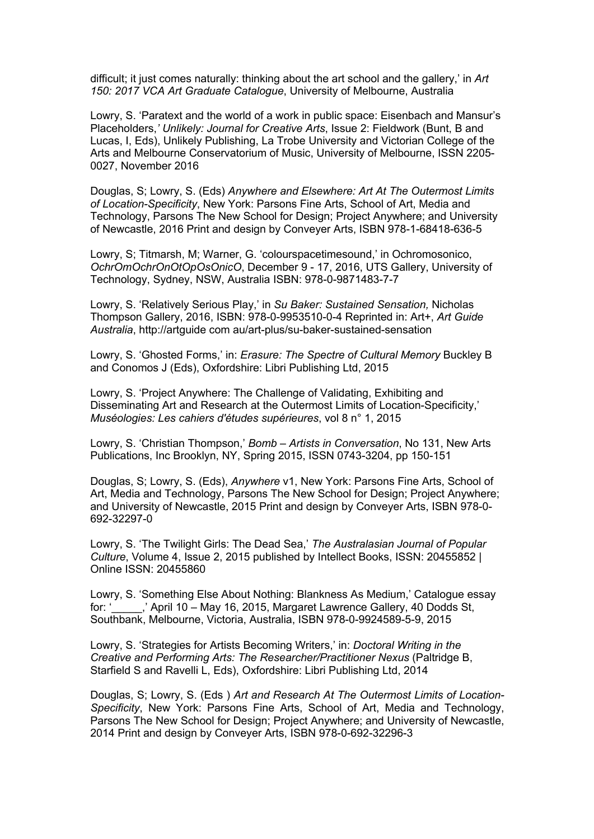difficult; it just comes naturally: thinking about the art school and the gallery,' in *Art 150: 2017 VCA Art Graduate Catalogue*, University of Melbourne, Australia

Lowry, S. 'Paratext and the world of a work in public space: Eisenbach and Mansur's Placeholders,*' Unlikely: Journal for Creative Arts*, Issue 2: Fieldwork (Bunt, B and Lucas, I, Eds), Unlikely Publishing, La Trobe University and Victorian College of the Arts and Melbourne Conservatorium of Music, University of Melbourne, ISSN 2205- 0027, November 2016

Douglas, S; Lowry, S. (Eds) *Anywhere and Elsewhere: Art At The Outermost Limits of Location-Specificity*, New York: Parsons Fine Arts, School of Art, Media and Technology, Parsons The New School for Design; Project Anywhere; and University of Newcastle, 2016 Print and design by Conveyer Arts, ISBN 978-1-68418-636-5

Lowry, S; Titmarsh, M; Warner, G. 'colourspacetimesound,' in Ochromosonico, *OchrOmOchrOnOtOpOsOnicO*, December 9 - 17, 2016, UTS Gallery, University of Technology, Sydney, NSW, Australia ISBN: 978-0-9871483-7-7

Lowry, S. 'Relatively Serious Play,' in *Su Baker: Sustained Sensation,* Nicholas Thompson Gallery, 2016, ISBN: 978-0-9953510-0-4 Reprinted in: Art+, *Art Guide Australia*, http://artguide com au/art-plus/su-baker-sustained-sensation

Lowry, S. 'Ghosted Forms,' in: *Erasure: The Spectre of Cultural Memory* Buckley B and Conomos J (Eds), Oxfordshire: Libri Publishing Ltd, 2015

Lowry, S. 'Project Anywhere: The Challenge of Validating, Exhibiting and Disseminating Art and Research at the Outermost Limits of Location-Specificity,' *Muséologies: Les cahiers d'études supérieures*, vol 8 n° 1, 2015

Lowry, S. 'Christian Thompson,' *Bomb – Artists in Conversation*, No 131, New Arts Publications, Inc Brooklyn, NY, Spring 2015, ISSN 0743-3204, pp 150-151

Douglas, S; Lowry, S. (Eds), *Anywhere* v1, New York: Parsons Fine Arts, School of Art, Media and Technology, Parsons The New School for Design; Project Anywhere; and University of Newcastle, 2015 Print and design by Conveyer Arts, ISBN 978-0- 692-32297-0

Lowry, S. 'The Twilight Girls: The Dead Sea,' *The Australasian Journal of Popular Culture*, Volume 4, Issue 2, 2015 published by Intellect Books, ISSN: 20455852 | Online ISSN: 20455860

Lowry, S. 'Something Else About Nothing: Blankness As Medium,' Catalogue essay for: '\_\_\_\_\_,' April 10 – May 16, 2015, Margaret Lawrence Gallery, 40 Dodds St, Southbank, Melbourne, Victoria, Australia, ISBN 978-0-9924589-5-9, 2015

Lowry, S. 'Strategies for Artists Becoming Writers,' in: *Doctoral Writing in the Creative and Performing Arts: The Researcher/Practitioner Nexus* (Paltridge B, Starfield S and Ravelli L, Eds), Oxfordshire: Libri Publishing Ltd, 2014

Douglas, S; Lowry, S. (Eds ) *Art and Research At The Outermost Limits of Location-Specificity*, New York: Parsons Fine Arts, School of Art, Media and Technology, Parsons The New School for Design; Project Anywhere; and University of Newcastle, 2014 Print and design by Conveyer Arts, ISBN 978-0-692-32296-3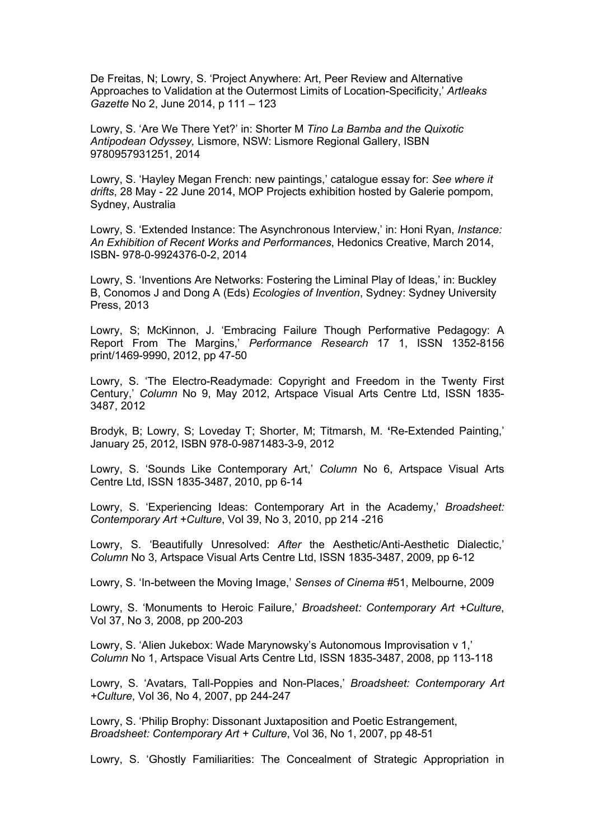De Freitas, N; Lowry, S. 'Project Anywhere: Art, Peer Review and Alternative Approaches to Validation at the Outermost Limits of Location-Specificity,' *Artleaks Gazette* No 2, June 2014, p 111 – 123

Lowry, S. 'Are We There Yet?' in: Shorter M *Tino La Bamba and the Quixotic Antipodean Odyssey,* Lismore, NSW: Lismore Regional Gallery, ISBN 9780957931251, 2014

Lowry, S. 'Hayley Megan French: new paintings,' catalogue essay for: *See where it drifts*, 28 May - 22 June 2014, MOP Projects exhibition hosted by Galerie pompom, Sydney, Australia

Lowry, S. 'Extended Instance: The Asynchronous Interview,' in: Honi Ryan, *Instance: An Exhibition of Recent Works and Performances*, Hedonics Creative, March 2014, ISBN- 978-0-9924376-0-2, 2014

Lowry, S. 'Inventions Are Networks: Fostering the Liminal Play of Ideas,' in: Buckley B, Conomos J and Dong A (Eds) *Ecologies of Invention*, Sydney: Sydney University Press, 2013

Lowry, S; McKinnon, J. 'Embracing Failure Though Performative Pedagogy: A Report From The Margins,' *Performance Research* 17 1, ISSN 1352-8156 print/1469-9990, 2012, pp 47-50

Lowry, S. 'The Electro-Readymade: Copyright and Freedom in the Twenty First Century,' *Column* No 9, May 2012, Artspace Visual Arts Centre Ltd, ISSN 1835- 3487, 2012

Brodyk, B; Lowry, S; Loveday T; Shorter, M; Titmarsh, M. **'**Re-Extended Painting,' January 25, 2012, ISBN 978-0-9871483-3-9, 2012

Lowry, S. ʻSounds Like Contemporary Art,' *Column* No 6, Artspace Visual Arts Centre Ltd, ISSN 1835-3487, 2010, pp 6-14

Lowry, S. 'Experiencing Ideas: Contemporary Art in the Academy,' *Broadsheet: Contemporary Art +Culture*, Vol 39, No 3, 2010, pp 214 -216

Lowry, S. ʻBeautifully Unresolved: *After* the Aesthetic/Anti-Aesthetic Dialectic,' *Column* No 3, Artspace Visual Arts Centre Ltd, ISSN 1835-3487, 2009, pp 6-12

Lowry, S. ʻIn-between the Moving Image,' *Senses of Cinema* #51, Melbourne, 2009

Lowry, S. ʻMonuments to Heroic Failure,' *Broadsheet: Contemporary Art +Culture*, Vol 37, No 3, 2008, pp 200-203

Lowry, S. ʻAlien Jukebox: Wade Marynowsky's Autonomous Improvisation v 1,' *Column* No 1, Artspace Visual Arts Centre Ltd, ISSN 1835-3487, 2008, pp 113-118

Lowry, S. ʻAvatars, Tall-Poppies and Non-Places,' *Broadsheet: Contemporary Art +Culture*, Vol 36, No 4, 2007, pp 244-247

Lowry, S. ʻPhilip Brophy: Dissonant Juxtaposition and Poetic Estrangement, *Broadsheet: Contemporary Art + Culture*, Vol 36, No 1, 2007, pp 48-51

Lowry, S. ʻGhostly Familiarities: The Concealment of Strategic Appropriation in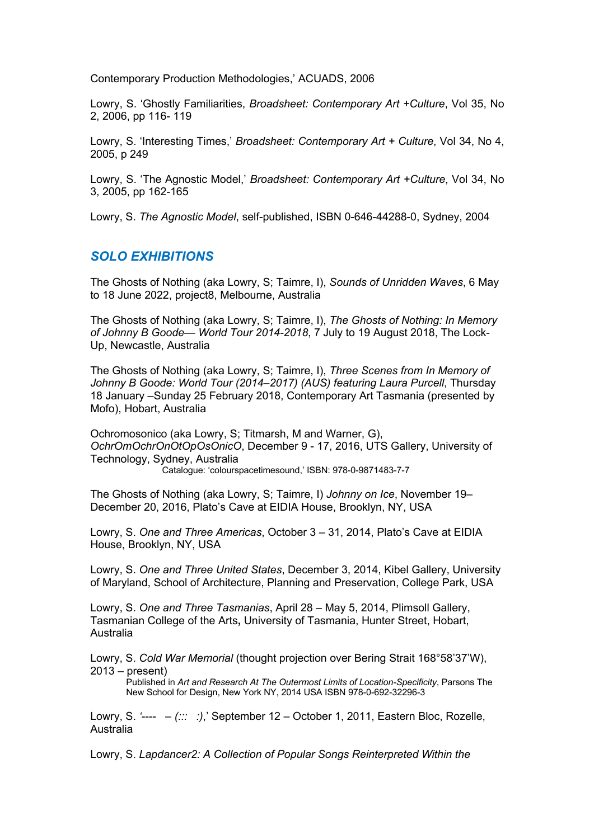Contemporary Production Methodologies,' ACUADS, 2006

Lowry, S. ʻGhostly Familiarities, *Broadsheet: Contemporary Art +Culture*, Vol 35, No 2, 2006, pp 116- 119

Lowry, S. 'Interesting Times,' *Broadsheet: Contemporary Art + Culture*, Vol 34, No 4, 2005, p 249

Lowry, S. ʻThe Agnostic Model,' *Broadsheet: Contemporary Art +Culture*, Vol 34, No 3, 2005, pp 162-165

Lowry, S. *The Agnostic Model*, self-published, ISBN 0-646-44288-0, Sydney, 2004

#### *SOLO EXHIBITIONS*

The Ghosts of Nothing (aka Lowry, S; Taimre, I), *Sounds of Unridden Waves*, 6 May to 18 June 2022, project8, Melbourne, Australia

The Ghosts of Nothing (aka Lowry, S; Taimre, I), *The Ghosts of Nothing: In Memory of Johnny B Goode— World Tour 2014-2018*, 7 July to 19 August 2018, The Lock-Up, Newcastle, Australia

The Ghosts of Nothing (aka Lowry, S; Taimre, I), *Three Scenes from In Memory of Johnny B Goode: World Tour (2014–2017) (AUS) featuring Laura Purcell*, Thursday 18 January –Sunday 25 February 2018, Contemporary Art Tasmania (presented by Mofo), Hobart, Australia

Ochromosonico (aka Lowry, S; Titmarsh, M and Warner, G), *OchrOmOchrOnOtOpOsOnicO*, December 9 - 17, 2016, UTS Gallery, University of Technology, Sydney, Australia Catalogue: 'colourspacetimesound,' ISBN: 978-0-9871483-7-7

The Ghosts of Nothing (aka Lowry, S; Taimre, I) *Johnny on Ice*, November 19– December 20, 2016, Plato's Cave at EIDIA House, Brooklyn, NY, USA

Lowry, S. *One and Three Americas*, October 3 – 31, 2014, Plato's Cave at EIDIA House, Brooklyn, NY, USA

Lowry, S. *One and Three United States*, December 3, 2014, Kibel Gallery, University of Maryland, School of Architecture, Planning and Preservation, College Park, USA

Lowry, S. *One and Three Tasmanias*, April 28 – May 5, 2014, Plimsoll Gallery, Tasmanian College of the Arts**,** University of Tasmania, Hunter Street, Hobart, Australia

Lowry, S. *Cold War Memorial* (thought projection over Bering Strait 168°58'37'W), 2013 – present)

Published in *Art and Research At The Outermost Limits of Location-Specificity*, Parsons The New School for Design, New York NY, 2014 USA ISBN 978-0-692-32296-3

Lowry, S. *'*---- – *(::: :)*,' September 12 – October 1, 2011, Eastern Bloc, Rozelle, Australia

Lowry, S. *Lapdancer2: A Collection of Popular Songs Reinterpreted Within the*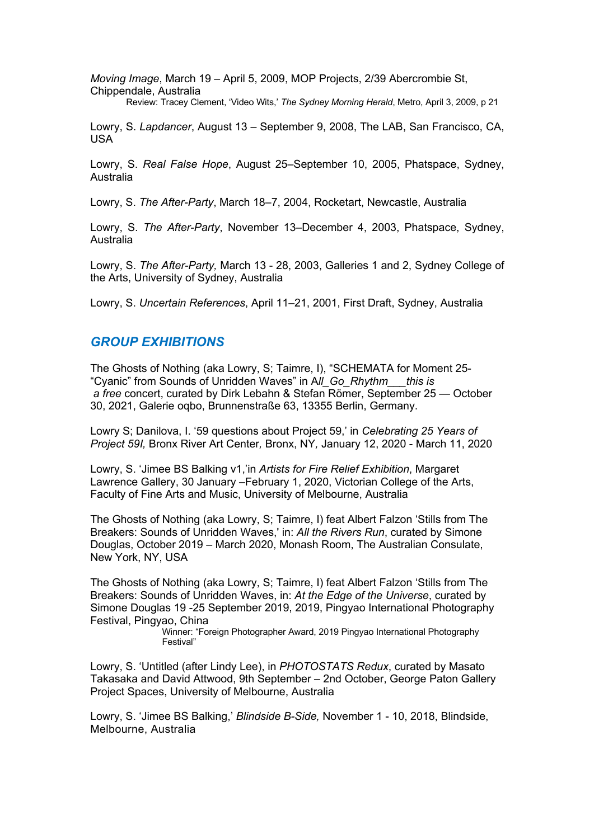*Moving Image*, March 19 – April 5, 2009, MOP Projects, 2/39 Abercrombie St, Chippendale, Australia Review: Tracey Clement, 'Video Wits,' *The Sydney Morning Herald*, Metro, April 3, 2009, p 21

Lowry, S. *Lapdancer*, August 13 – September 9, 2008, The LAB, San Francisco, CA,

Lowry, S. *Real False Hope*, August 25–September 10, 2005, Phatspace, Sydney, Australia

Lowry, S. *The After-Party*, March 18–7, 2004, Rocketart, Newcastle, Australia

Lowry, S. *The After-Party*, November 13–December 4, 2003, Phatspace, Sydney, Australia

Lowry, S. *The After-Party,* March 13 - 28, 2003, Galleries 1 and 2, Sydney College of the Arts, University of Sydney, Australia

Lowry, S. *Uncertain References*, April 11–21, 2001, First Draft, Sydney, Australia

### *GROUP EXHIBITIONS*

USA

The Ghosts of Nothing (aka Lowry, S; Taimre, I), "SCHEMATA for Moment 25- "Cyanic" from Sounds of Unridden Waves" in A*ll\_Go\_Rhythm\_\_\_this is a free* concert, curated by Dirk Lebahn & Stefan Römer, September 25 — October 30, 2021, Galerie oqbo, Brunnenstraße 63, 13355 Berlin, Germany.

Lowry S; Danilova, I. '59 questions about Project 59,' in *Celebrating 25 Years of Project 59I,* Bronx River Art Center*,* Bronx, NY*,* January 12, 2020 - March 11, 2020

Lowry, S. 'Jimee BS Balking v1,'in *Artists for Fire Relief Exhibition*, Margaret Lawrence Gallery, 30 January –February 1, 2020, Victorian College of the Arts, Faculty of Fine Arts and Music, University of Melbourne, Australia

The Ghosts of Nothing (aka Lowry, S; Taimre, I) feat Albert Falzon 'Stills from The Breakers: Sounds of Unridden Waves,' in: *All the Rivers Run*, curated by Simone Douglas, October 2019 – March 2020, Monash Room, The Australian Consulate, New York, NY, USA

The Ghosts of Nothing (aka Lowry, S; Taimre, I) feat Albert Falzon 'Stills from The Breakers: Sounds of Unridden Waves, in: *At the Edge of the Universe*, curated by Simone Douglas 19 -25 September 2019, 2019, Pingyao International Photography Festival, Pingyao, China

Winner: "Foreign Photographer Award, 2019 Pingyao International Photography Festival"

Lowry, S. 'Untitled (after Lindy Lee), in *PHOTOSTATS Redux*, curated by Masato Takasaka and David Attwood, 9th September – 2nd October, George Paton Gallery Project Spaces, University of Melbourne, Australia

Lowry, S. 'Jimee BS Balking,' *Blindside B-Side,* November 1 - 10, 2018, Blindside, Melbourne, Australia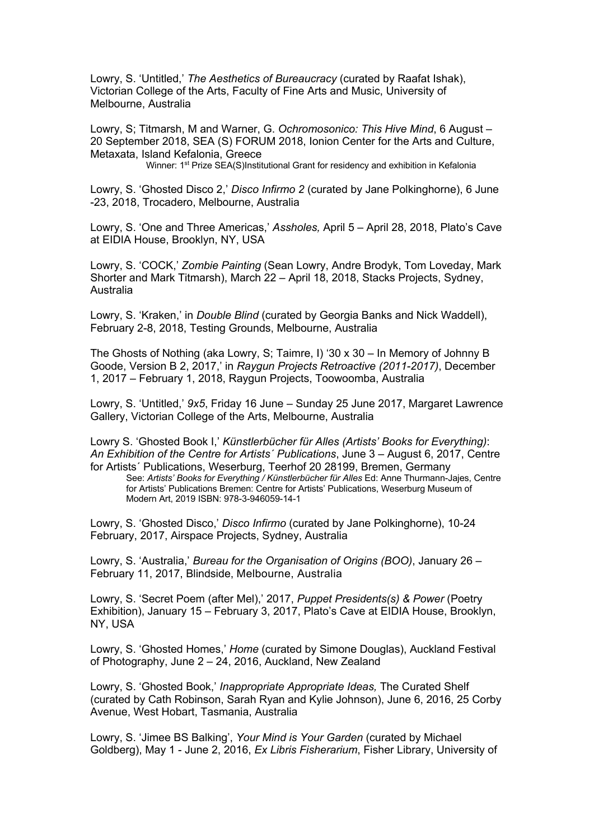Lowry, S. 'Untitled,' *The Aesthetics of Bureaucracy* (curated by Raafat Ishak), Victorian College of the Arts, Faculty of Fine Arts and Music, University of Melbourne, Australia

Lowry, S; Titmarsh, M and Warner, G. *Ochromosonico: This Hive Mind*, 6 August – 20 September 2018, SEA (S) FORUM 2018, Ionion Center for the Arts and Culture, Metaxata, Island Kefalonia, Greece<br>Winner: 1<sup>st</sup> Prize SEA(S)Institutional Grant for residency and exhibition in Kefalonia

Lowry, S. 'Ghosted Disco 2,' *Disco Infirmo 2* (curated by Jane Polkinghorne), 6 June -23, 2018, Trocadero, Melbourne, Australia

Lowry, S. 'One and Three Americas,' *Assholes,* April 5 – April 28, 2018, Plato's Cave at EIDIA House, Brooklyn, NY, USA

Lowry, S. 'COCK,' *Zombie Painting* (Sean Lowry, Andre Brodyk, Tom Loveday, Mark Shorter and Mark Titmarsh), March 22 – April 18, 2018, Stacks Projects, Sydney, Australia

Lowry, S. 'Kraken,' in *Double Blind* (curated by Georgia Banks and Nick Waddell), February 2-8, 2018, Testing Grounds, Melbourne, Australia

The Ghosts of Nothing (aka Lowry, S; Taimre, I) '30 x 30 – In Memory of Johnny B Goode, Version B 2, 2017,' in *Raygun Projects Retroactive (2011-2017)*, December 1, 2017 – February 1, 2018, Raygun Projects, Toowoomba, Australia

Lowry, S. 'Untitled,' *9x5*, Friday 16 June – Sunday 25 June 2017, Margaret Lawrence Gallery, Victorian College of the Arts, Melbourne, Australia

Lowry S. 'Ghosted Book I,' *Künstlerbücher für Alles (Artists' Books for Everything)*: *An Exhibition of the Centre for Artists´ Publications*, June 3 – August 6, 2017, Centre for Artists´ Publications, Weserburg, Teerhof 20 28199, Bremen, Germany

See: *Artists' Books for Everything / Künstlerbücher für Alles* Ed: Anne Thurmann-Jajes, Centre for Artists' Publications Bremen: Centre for Artists' Publications, Weserburg Museum of Modern Art, 2019 ISBN: 978-3-946059-14-1

Lowry, S. 'Ghosted Disco,' *Disco Infirmo* (curated by Jane Polkinghorne), 10-24 February, 2017, Airspace Projects, Sydney, Australia

Lowry, S. 'Australia,' *Bureau for the Organisation of Origins (BOO)*, January 26 – February 11, 2017, Blindside, Melbourne, Australia

Lowry, S. 'Secret Poem (after Mel),' 2017, *Puppet Presidents(s) & Power* (Poetry Exhibition), January 15 – February 3, 2017, Plato's Cave at EIDIA House, Brooklyn, NY, USA

Lowry, S. 'Ghosted Homes,' *Home* (curated by Simone Douglas), Auckland Festival of Photography, June 2 – 24, 2016, Auckland, New Zealand

Lowry, S. 'Ghosted Book,' *Inappropriate Appropriate Ideas,* The Curated Shelf (curated by Cath Robinson, Sarah Ryan and Kylie Johnson), June 6, 2016, 25 Corby Avenue, West Hobart, Tasmania, Australia

Lowry, S. 'Jimee BS Balking', *Your Mind is Your Garden* (curated by Michael Goldberg), May 1 - June 2, 2016, *Ex Libris Fisherarium*, Fisher Library, University of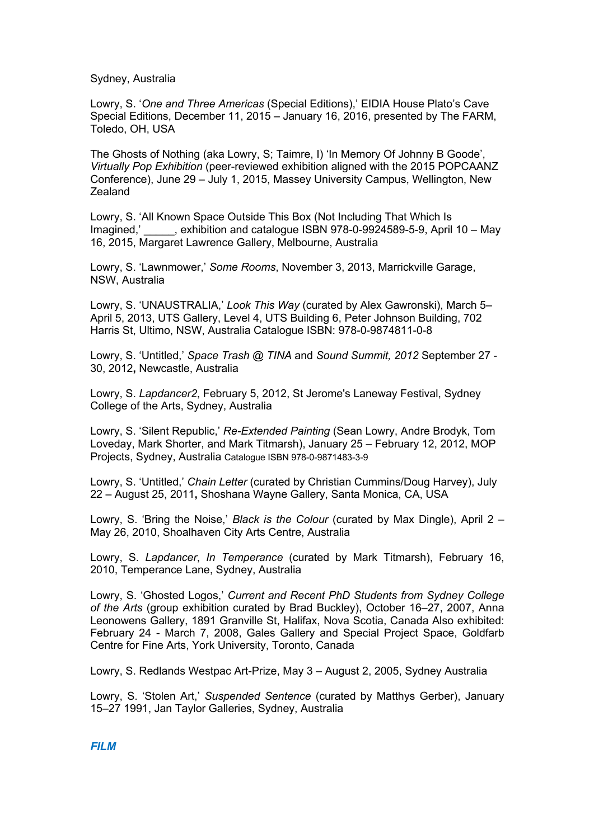Sydney, Australia

Lowry, S. '*One and Three Americas* (Special Editions),' EIDIA House Plato's Cave Special Editions, December 11, 2015 – January 16, 2016, presented by The FARM, Toledo, OH, USA

The Ghosts of Nothing (aka Lowry, S; Taimre, I) 'In Memory Of Johnny B Goode', *Virtually Pop Exhibition* (peer-reviewed exhibition aligned with the 2015 POPCAANZ Conference), June 29 – July 1, 2015, Massey University Campus, Wellington, New **Zealand** 

Lowry, S. 'All Known Space Outside This Box (Not Including That Which Is Imagined,' \_\_\_\_\_, exhibition and catalogue ISBN 978-0-9924589-5-9, April 10 – May 16, 2015, Margaret Lawrence Gallery, Melbourne, Australia

Lowry, S. 'Lawnmower,' *Some Rooms*, November 3, 2013, Marrickville Garage, NSW, Australia

Lowry, S. 'UNAUSTRALIA,' *Look This Way* (curated by Alex Gawronski), March 5– April 5, 2013, UTS Gallery, Level 4, UTS Building 6, Peter Johnson Building, 702 Harris St, Ultimo, NSW, Australia Catalogue ISBN: 978-0-9874811-0-8

Lowry, S. 'Untitled,' *Space Trash @ TINA* and *Sound Summit, 2012* September 27 - 30, 2012**,** Newcastle, Australia

Lowry, S. *Lapdancer2*, February 5, 2012, St Jerome's Laneway Festival, Sydney College of the Arts, Sydney, Australia

Lowry, S. 'Silent Republic,' *Re-Extended Painting* (Sean Lowry, Andre Brodyk, Tom Loveday, Mark Shorter, and Mark Titmarsh), January 25 – February 12, 2012, MOP Projects, Sydney, Australia Catalogue ISBN 978-0-9871483-3-9

Lowry, S. 'Untitled,' *Chain Letter* (curated by Christian Cummins/Doug Harvey), July 22 – August 25, 2011**,** Shoshana Wayne Gallery, Santa Monica, CA, USA

Lowry, S. 'Bring the Noise,' *Black is the Colour* (curated by Max Dingle), April 2 – May 26, 2010, Shoalhaven City Arts Centre, Australia

Lowry, S. *Lapdancer*, *In Temperance* (curated by Mark Titmarsh), February 16, 2010, Temperance Lane, Sydney, Australia

Lowry, S. 'Ghosted Logos,' *Current and Recent PhD Students from Sydney College of the Arts* (group exhibition curated by Brad Buckley), October 16–27, 2007, Anna Leonowens Gallery, 1891 Granville St, Halifax, Nova Scotia, Canada Also exhibited: February 24 - March 7, 2008, Gales Gallery and Special Project Space, Goldfarb Centre for Fine Arts, York University, Toronto, Canada

Lowry, S. Redlands Westpac Art-Prize, May 3 – August 2, 2005, Sydney Australia

Lowry, S. 'Stolen Art,' *Suspended Sentence* (curated by Matthys Gerber), January 15–27 1991, Jan Taylor Galleries, Sydney, Australia

*FILM*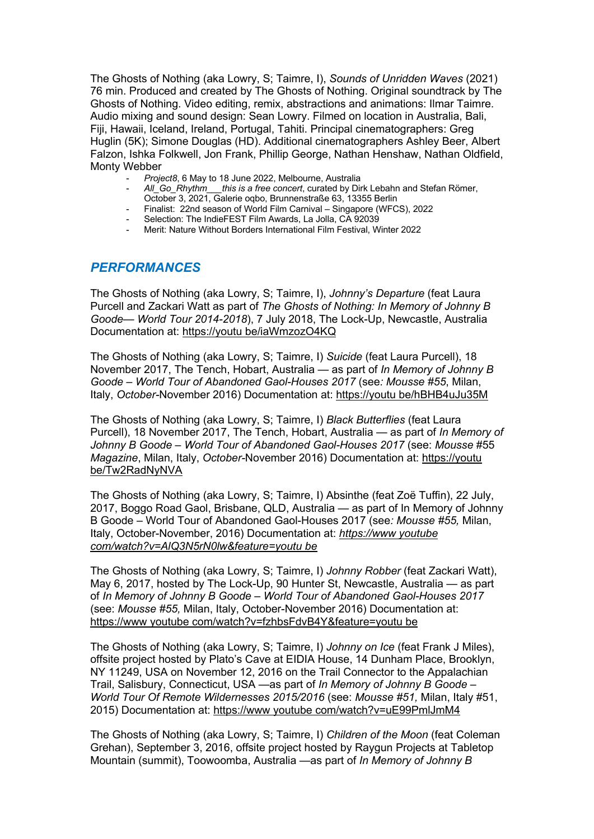The Ghosts of Nothing (aka Lowry, S; Taimre, I), *Sounds of Unridden Waves* (2021) 76 min. Produced and created by The Ghosts of Nothing. Original soundtrack by The Ghosts of Nothing. Video editing, remix, abstractions and animations: Ilmar Taimre. Audio mixing and sound design: Sean Lowry. Filmed on location in Australia, Bali, Fiji, Hawaii, Iceland, Ireland, Portugal, Tahiti. Principal cinematographers: Greg Huglin (5K); Simone Douglas (HD). Additional cinematographers Ashley Beer, Albert Falzon, Ishka Folkwell, Jon Frank, Phillip George, Nathan Henshaw, Nathan Oldfield, Monty Webber

- *Project8*, 6 May to 18 June 2022, Melbourne, Australia
- *All\_Go\_Rhythm\_\_\_this is a free concert*, curated by Dirk Lebahn and Stefan Römer, October 3, 2021, Galerie oqbo, Brunnenstraße 63, 13355 Berlin
- Finalist: 22nd season of World Film Carnival Singapore (WFCS), 2022
- Selection: The IndieFEST Film Awards, La Jolla, CA 92039
- Merit: Nature Without Borders International Film Festival, Winter 2022

### *PERFORMANCES*

The Ghosts of Nothing (aka Lowry, S; Taimre, I), *Johnny's Departure* (feat Laura Purcell and Zackari Watt as part of *The Ghosts of Nothing: In Memory of Johnny B Goode— World Tour 2014-2018*), 7 July 2018, The Lock-Up, Newcastle, Australia Documentation at: https://youtu be/iaWmzozO4KQ

The Ghosts of Nothing (aka Lowry, S; Taimre, I) *Suicide* (feat Laura Purcell), 18 November 2017, The Tench, Hobart, Australia *—* as part of *In Memory of Johnny B Goode – World Tour of Abandoned Gaol-Houses 2017* (see*: Mousse #55*, Milan, Italy, *October-*November 2016) Documentation at: https://youtu be/hBHB4uJu35M

The Ghosts of Nothing (aka Lowry, S; Taimre, I) *Black Butterflies* (feat Laura Purcell), 18 November 2017, The Tench, Hobart, Australia *—* as part of *In Memory of Johnny B Goode – World Tour of Abandoned Gaol-Houses 2017* (see: *Mousse* #55 *Magazine*, Milan, Italy, *October-*November 2016) Documentation at: https://youtu be/Tw2RadNyNVA

The Ghosts of Nothing (aka Lowry, S; Taimre, I) Absinthe (feat Zoë Tuffin), 22 July, 2017, Boggo Road Gaol, Brisbane, QLD, Australia — as part of In Memory of Johnny B Goode – World Tour of Abandoned Gaol-Houses 2017 (see*: Mousse #55,* Milan, Italy, October-November, 2016) Documentation at: *https://www youtube com/watch?v=AlQ3N5rN0lw&feature=youtu be*

The Ghosts of Nothing (aka Lowry, S; Taimre, I) *Johnny Robber* (feat Zackari Watt), May 6, 2017, hosted by The Lock-Up, 90 Hunter St, Newcastle, Australia — as part of *In Memory of Johnny B Goode – World Tour of Abandoned Gaol-Houses 2017*  (see: *Mousse #55,* Milan, Italy, October-November 2016) Documentation at: https://www youtube com/watch?v=fzhbsFdvB4Y&feature=youtu be

The Ghosts of Nothing (aka Lowry, S; Taimre, I) *Johnny on Ice* (feat Frank J Miles), offsite project hosted by Plato's Cave at EIDIA House, 14 Dunham Place, Brooklyn, NY 11249, USA on November 12, 2016 on the Trail Connector to the Appalachian Trail, Salisbury, Connecticut, USA —as part of *In Memory of Johnny B Goode – World Tour Of Remote Wildernesses 2015/2016* (see: *Mousse #51,* Milan, Italy #51, 2015) Documentation at: https://www youtube com/watch?v=uE99PmlJmM4

The Ghosts of Nothing (aka Lowry, S; Taimre, I) *Children of the Moon* (feat Coleman Grehan), September 3, 2016, offsite project hosted by Raygun Projects at Tabletop Mountain (summit), Toowoomba, Australia —as part of *In Memory of Johnny B*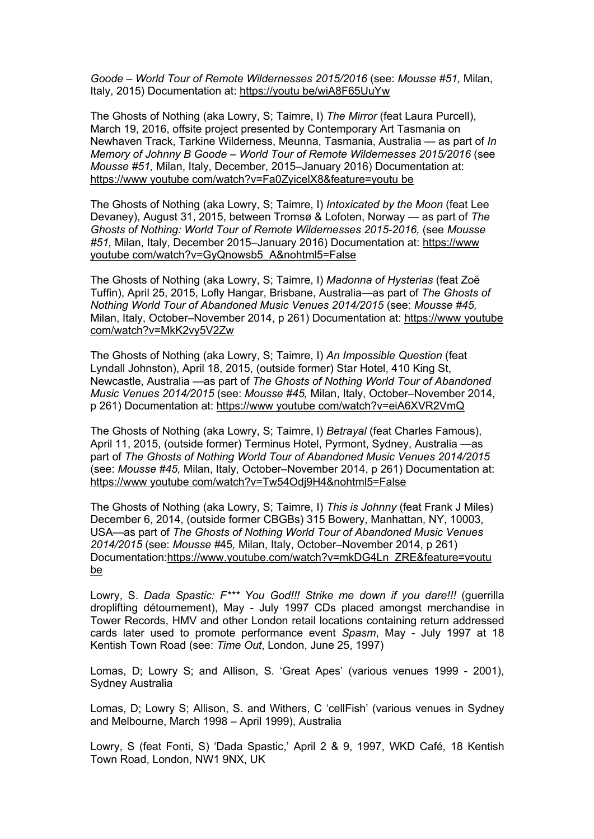*Goode – World Tour of Remote Wildernesses 2015/2016* (see: *Mousse #51,* Milan, Italy, 2015) Documentation at: https://youtu be/wiA8F65UuYw

The Ghosts of Nothing (aka Lowry, S; Taimre, I) *The Mirror* (feat Laura Purcell), March 19, 2016, offsite project presented by Contemporary Art Tasmania on Newhaven Track, Tarkine Wilderness, Meunna, Tasmania, Australia — as part of *In Memory of Johnny B Goode – World Tour of Remote Wildernesses 2015/2016* (see *Mousse #51,* Milan, Italy, December, 2015–January 2016) Documentation at: https://www youtube com/watch?v=Fa0ZyicelX8&feature=youtu be

The Ghosts of Nothing (aka Lowry, S; Taimre, I) *Intoxicated by the Moon* (feat Lee Devaney), August 31, 2015, between Tromsø & Lofoten, Norway — as part of *The Ghosts of Nothing: World Tour of Remote Wildernesses 2015-2016,* (see *Mousse #51,* Milan, Italy, December 2015–January 2016) Documentation at: https://www youtube com/watch?v=GyQnowsb5\_A&nohtml5=False

The Ghosts of Nothing (aka Lowry, S; Taimre, I) *Madonna of Hysterias* (feat Zoë Tuffin), April 25, 2015, Lofly Hangar, Brisbane, Australia—as part of *The Ghosts of Nothing World Tour of Abandoned Music Venues 2014/2015* (see: *Mousse #45,*  Milan, Italy, October–November 2014, p 261) Documentation at: https://www youtube com/watch?v=MkK2vy5V2Zw

The Ghosts of Nothing (aka Lowry, S; Taimre, I) *An Impossible Question* (feat Lyndall Johnston), April 18, 2015, (outside former) Star Hotel, 410 King St, Newcastle, Australia —as part of *The Ghosts of Nothing World Tour of Abandoned Music Venues 2014/2015* (see: *Mousse #45,* Milan, Italy, October–November 2014, p 261) Documentation at: https://www youtube com/watch?v=eiA6XVR2VmQ

The Ghosts of Nothing (aka Lowry, S; Taimre, I) *Betrayal* (feat Charles Famous), April 11, 2015, (outside former) Terminus Hotel, Pyrmont, Sydney, Australia —as part of *The Ghosts of Nothing World Tour of Abandoned Music Venues 2014/2015* (see: *Mousse #45,* Milan, Italy, October–November 2014, p 261) Documentation at: https://www youtube com/watch?v=Tw54Odj9H4&nohtml5=False

The Ghosts of Nothing (aka Lowry, S; Taimre, I) *This is Johnny* (feat Frank J Miles) December 6, 2014, (outside former CBGBs) 315 Bowery, Manhattan, NY, 10003, USA—as part of *The Ghosts of Nothing World Tour of Abandoned Music Venues 2014/2015* (see: *Mousse #*45*,* Milan, Italy, October–November 2014, p 261) Documentation:https://www.youtube.com/watch?v=mkDG4Ln\_ZRE&feature=youtu be

Lowry, S. *Dada Spastic: F\*\*\* You God!!! Strike me down if you dare!!!* (guerrilla droplifting détournement), May - July 1997 CDs placed amongst merchandise in Tower Records, HMV and other London retail locations containing return addressed cards later used to promote performance event *Spasm*, May - July 1997 at 18 Kentish Town Road (see: *Time Out*, London, June 25, 1997)

Lomas, D; Lowry S; and Allison, S. 'Great Apes' (various venues 1999 - 2001), Sydney Australia

Lomas, D; Lowry S; Allison, S. and Withers, C 'cellFish' (various venues in Sydney and Melbourne, March 1998 – April 1999), Australia

Lowry, S (feat Fonti, S) 'Dada Spastic,' April 2 & 9, 1997, WKD Café*,* 18 Kentish Town Road, London, NW1 9NX, UK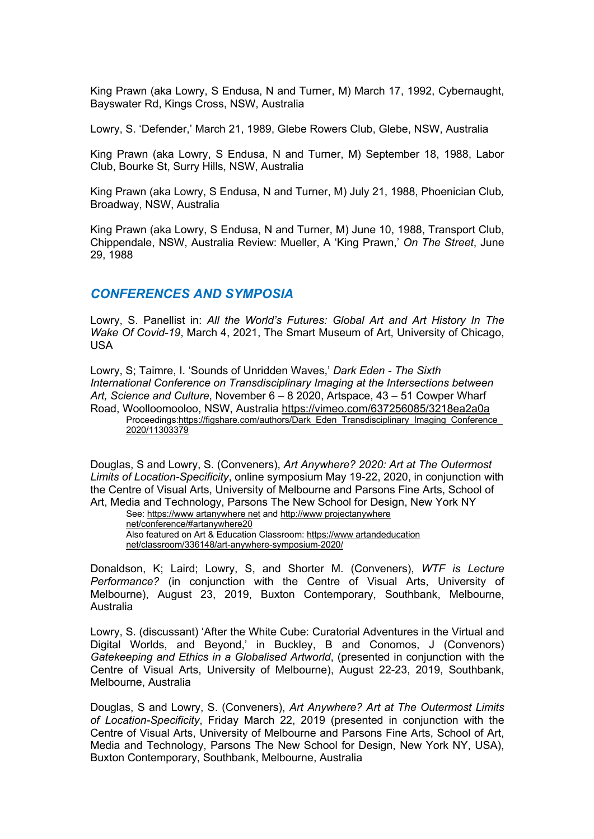King Prawn (aka Lowry, S Endusa, N and Turner, M) March 17, 1992, Cybernaught, Bayswater Rd, Kings Cross, NSW, Australia

Lowry, S. 'Defender,' March 21, 1989, Glebe Rowers Club, Glebe, NSW, Australia

King Prawn (aka Lowry, S Endusa, N and Turner, M) September 18, 1988, Labor Club, Bourke St, Surry Hills, NSW, Australia

King Prawn (aka Lowry, S Endusa, N and Turner, M) July 21, 1988, Phoenician Club*,*  Broadway, NSW, Australia

King Prawn (aka Lowry, S Endusa, N and Turner, M) June 10, 1988, Transport Club, Chippendale, NSW, Australia Review: Mueller, A 'King Prawn,' *On The Street*, June 29, 1988

#### *CONFERENCES AND SYMPOSIA*

Lowry, S. Panellist in: *All the World's Futures: Global Art and Art History In The Wake Of Covid-19*, March 4, 2021, The Smart Museum of Art, University of Chicago, USA

Lowry, S; Taimre, I. 'Sounds of Unridden Waves,' *Dark Eden - The Sixth International Conference on Transdisciplinary Imaging at the Intersections between Art, Science and Culture*, November 6 – 8 2020, Artspace, 43 – 51 Cowper Wharf Road, Woolloomooloo, NSW, Australia https://vimeo.com/637256085/3218ea2a0a Proceedings:https://figshare.com/authors/Dark\_Eden\_Transdisciplinary\_Imaging\_Conference\_ 2020/11303379

Douglas, S and Lowry, S. (Conveners), *Art Anywhere? 2020: Art at The Outermost Limits of Location-Specificity*, online symposium May 19-22, 2020, in conjunction with the Centre of Visual Arts, University of Melbourne and Parsons Fine Arts, School of Art, Media and Technology, Parsons The New School for Design, New York NY

See: https://www artanywhere net and http://www projectanywhere net/conference/#artanywhere20 Also featured on Art & Education Classroom: https://www artandeducation net/classroom/336148/art-anywhere-symposium-2020/

Donaldson, K; Laird; Lowry, S, and Shorter M. (Conveners), *WTF is Lecture Performance?* (in conjunction with the Centre of Visual Arts, University of Melbourne), August 23, 2019, Buxton Contemporary, Southbank, Melbourne, Australia

Lowry, S. (discussant) 'After the White Cube: Curatorial Adventures in the Virtual and Digital Worlds, and Beyond,' in Buckley, B and Conomos, J (Convenors) *Gatekeeping and Ethics in a Globalised Artworld*, (presented in conjunction with the Centre of Visual Arts, University of Melbourne), August 22-23, 2019, Southbank, Melbourne, Australia

Douglas, S and Lowry, S. (Conveners), *Art Anywhere? Art at The Outermost Limits of Location-Specificity*, Friday March 22, 2019 (presented in conjunction with the Centre of Visual Arts, University of Melbourne and Parsons Fine Arts, School of Art, Media and Technology, Parsons The New School for Design, New York NY, USA), Buxton Contemporary, Southbank, Melbourne, Australia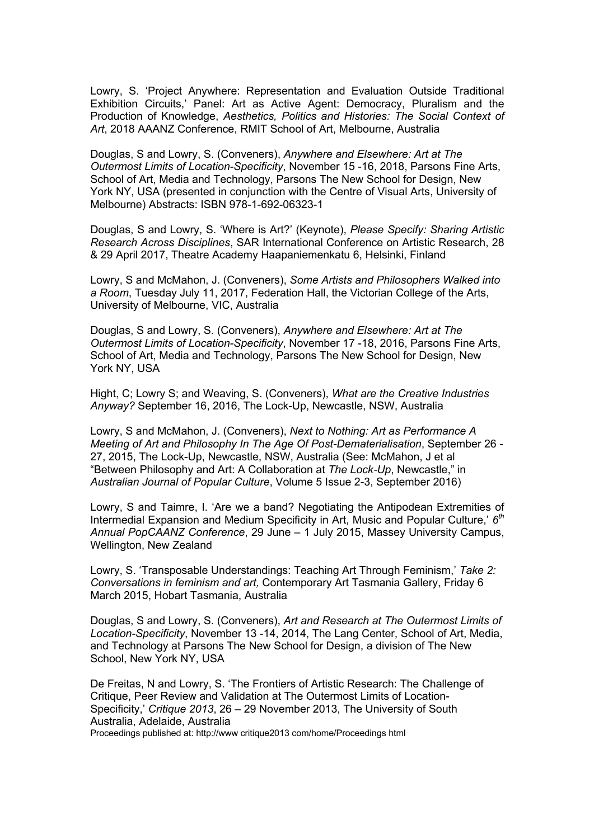Lowry, S. 'Project Anywhere: Representation and Evaluation Outside Traditional Exhibition Circuits,' Panel: Art as Active Agent: Democracy, Pluralism and the Production of Knowledge, *Aesthetics, Politics and Histories: The Social Context of Art*, 2018 AAANZ Conference, RMIT School of Art, Melbourne, Australia

Douglas, S and Lowry, S. (Conveners), *Anywhere and Elsewhere: Art at The Outermost Limits of Location-Specificity*, November 15 -16, 2018, Parsons Fine Arts, School of Art, Media and Technology, Parsons The New School for Design, New York NY, USA (presented in conjunction with the Centre of Visual Arts, University of Melbourne) Abstracts: ISBN 978-1-692-06323-1

Douglas, S and Lowry, S. 'Where is Art?' (Keynote), *Please Specify: Sharing Artistic Research Across Disciplines*, SAR International Conference on Artistic Research, 28 & 29 April 2017, Theatre Academy Haapaniemenkatu 6, Helsinki, Finland

Lowry, S and McMahon, J. (Conveners), *Some Artists and Philosophers Walked into a Room*, Tuesday July 11, 2017, Federation Hall, the Victorian College of the Arts, University of Melbourne, VIC, Australia

Douglas, S and Lowry, S. (Conveners), *Anywhere and Elsewhere: Art at The Outermost Limits of Location-Specificity*, November 17 -18, 2016, Parsons Fine Arts, School of Art, Media and Technology, Parsons The New School for Design, New York NY, USA

Hight, C; Lowry S; and Weaving, S. (Conveners), *What are the Creative Industries Anyway?* September 16, 2016, The Lock-Up, Newcastle, NSW, Australia

Lowry, S and McMahon, J. (Conveners), *Next to Nothing: Art as Performance A Meeting of Art and Philosophy In The Age Of Post-Dematerialisation*, September 26 - 27, 2015, The Lock-Up, Newcastle, NSW, Australia (See: McMahon, J et al "Between Philosophy and Art: A Collaboration at *The Lock*-*Up*, Newcastle," in *Australian Journal of Popular Culture*, Volume 5 Issue 2-3, September 2016)

Lowry, S and Taimre, I. 'Are we a band? Negotiating the Antipodean Extremities of Intermedial Expansion and Medium Specificity in Art, Music and Popular Culture,' *6th Annual PopCAANZ Conference*, 29 June – 1 July 2015, Massey University Campus, Wellington, New Zealand

Lowry, S. 'Transposable Understandings: Teaching Art Through Feminism,' *Take 2: Conversations in feminism and art,* Contemporary Art Tasmania Gallery, Friday 6 March 2015, Hobart Tasmania, Australia

Douglas, S and Lowry, S. (Conveners), *Art and Research at The Outermost Limits of Location-Specificity*, November 13 -14, 2014, The Lang Center, School of Art, Media, and Technology at Parsons The New School for Design, a division of The New School, New York NY, USA

De Freitas, N and Lowry, S. 'The Frontiers of Artistic Research: The Challenge of Critique, Peer Review and Validation at The Outermost Limits of Location-Specificity,' *Critique 2013*, 26 – 29 November 2013, The University of South Australia, Adelaide, Australia

Proceedings published at: http://www critique2013 com/home/Proceedings html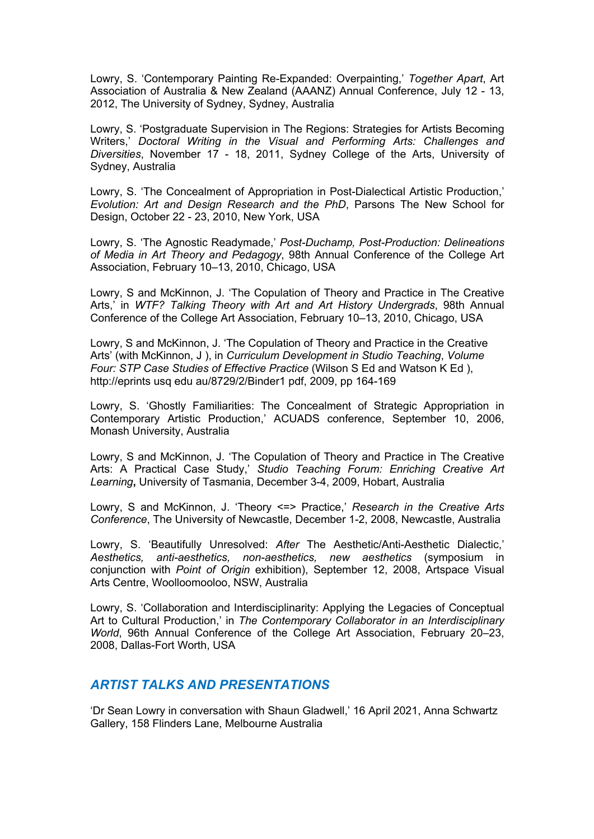Lowry, S. 'Contemporary Painting Re-Expanded: Overpainting,' *Together Apart*, Art Association of Australia & New Zealand (AAANZ) Annual Conference, July 12 - 13, 2012, The University of Sydney, Sydney, Australia

Lowry, S. 'Postgraduate Supervision in The Regions: Strategies for Artists Becoming Writers,' *Doctoral Writing in the Visual and Performing Arts: Challenges and Diversities*, November 17 - 18, 2011, Sydney College of the Arts, University of Sydney, Australia

Lowry, S. 'The Concealment of Appropriation in Post-Dialectical Artistic Production,' *Evolution: Art and Design Research and the PhD*, Parsons The New School for Design, October 22 - 23, 2010, New York, USA

Lowry, S. 'The Agnostic Readymade,' *Post-Duchamp, Post-Production: Delineations of Media in Art Theory and Pedagogy*, 98th Annual Conference of the College Art Association, February 10–13, 2010, Chicago, USA

Lowry, S and McKinnon, J. 'The Copulation of Theory and Practice in The Creative Arts,' in *WTF? Talking Theory with Art and Art History Undergrads*, 98th Annual Conference of the College Art Association, February 10–13, 2010, Chicago, USA

Lowry, S and McKinnon, J. 'The Copulation of Theory and Practice in the Creative Arts' (with McKinnon, J ), in *Curriculum Development in Studio Teaching*, *Volume Four: STP Case Studies of Effective Practice* (Wilson S Ed and Watson K Ed ), http://eprints usq edu au/8729/2/Binder1 pdf, 2009, pp 164-169

Lowry, S. 'Ghostly Familiarities: The Concealment of Strategic Appropriation in Contemporary Artistic Production,' ACUADS conference, September 10, 2006, Monash University, Australia

Lowry, S and McKinnon, J. 'The Copulation of Theory and Practice in The Creative Arts: A Practical Case Study,' *Studio Teaching Forum: Enriching Creative Art Learning***,** University of Tasmania, December 3-4, 2009, Hobart, Australia

Lowry, S and McKinnon, J. 'Theory <=> Practice,' *Research in the Creative Arts Conference*, The University of Newcastle, December 1-2, 2008, Newcastle, Australia

Lowry, S. 'Beautifully Unresolved: *After* The Aesthetic/Anti-Aesthetic Dialectic,' *Aesthetics, anti-aesthetics, non-aesthetics, new aesthetics* (symposium in conjunction with *Point of Origin* exhibition), September 12, 2008, Artspace Visual Arts Centre, Woolloomooloo, NSW, Australia

Lowry, S. 'Collaboration and Interdisciplinarity: Applying the Legacies of Conceptual Art to Cultural Production,' in *The Contemporary Collaborator in an Interdisciplinary World*, 96th Annual Conference of the College Art Association, February 20–23, 2008, Dallas-Fort Worth, USA

#### *ARTIST TALKS AND PRESENTATIONS*

'Dr Sean Lowry in conversation with Shaun Gladwell,' 16 April 2021, Anna Schwartz Gallery, 158 Flinders Lane, Melbourne Australia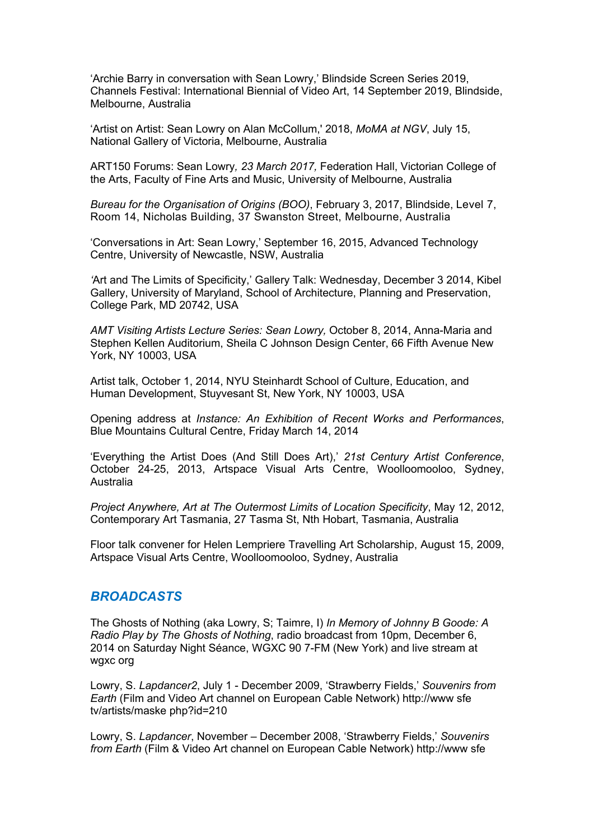'Archie Barry in conversation with Sean Lowry,' Blindside Screen Series 2019, Channels Festival: International Biennial of Video Art, 14 September 2019, Blindside, Melbourne, Australia

'Artist on Artist: Sean Lowry on Alan McCollum,' 2018, *MoMA at NGV*, July 15, National Gallery of Victoria, Melbourne, Australia

ART150 Forums: Sean Lowry*, 23 March 2017,* Federation Hall, Victorian College of the Arts, Faculty of Fine Arts and Music, University of Melbourne, Australia

*Bureau for the Organisation of Origins (BOO)*, February 3, 2017, Blindside, Level 7, Room 14, Nicholas Building, 37 Swanston Street, Melbourne, Australia

'Conversations in Art: Sean Lowry,' September 16, 2015, Advanced Technology Centre, University of Newcastle, NSW, Australia

*'*Art and The Limits of Specificity,' Gallery Talk: Wednesday, December 3 2014, Kibel Gallery, University of Maryland, School of Architecture, Planning and Preservation, College Park, MD 20742, USA

*AMT Visiting Artists Lecture Series: Sean Lowry,* October 8, 2014, Anna-Maria and Stephen Kellen Auditorium, Sheila C Johnson Design Center, 66 Fifth Avenue New York, NY 10003, USA

Artist talk, October 1, 2014, NYU Steinhardt School of Culture, Education, and Human Development, Stuyvesant St, New York, NY 10003, USA

Opening address at *Instance: An Exhibition of Recent Works and Performances*, Blue Mountains Cultural Centre, Friday March 14, 2014

'Everything the Artist Does (And Still Does Art),' *21st Century Artist Conference*, October 24-25, 2013, Artspace Visual Arts Centre, Woolloomooloo, Sydney, Australia

*Project Anywhere, Art at The Outermost Limits of Location Specificity*, May 12, 2012, Contemporary Art Tasmania, 27 Tasma St, Nth Hobart, Tasmania, Australia

Floor talk convener for Helen Lempriere Travelling Art Scholarship, August 15, 2009, Artspace Visual Arts Centre, Woolloomooloo, Sydney, Australia

#### *BROADCASTS*

The Ghosts of Nothing (aka Lowry, S; Taimre, I) *In Memory of Johnny B Goode: A Radio Play by The Ghosts of Nothing*, radio broadcast from 10pm, December 6, 2014 on Saturday Night Séance, WGXC 90 7-FM (New York) and live stream at wgxc org

Lowry, S. *Lapdancer2*, July 1 - December 2009, 'Strawberry Fields,' *Souvenirs from Earth* (Film and Video Art channel on European Cable Network) http://www sfe tv/artists/maske php?id=210

Lowry, S. *Lapdancer*, November – December 2008, 'Strawberry Fields,' *Souvenirs from Earth* (Film & Video Art channel on European Cable Network) http://www sfe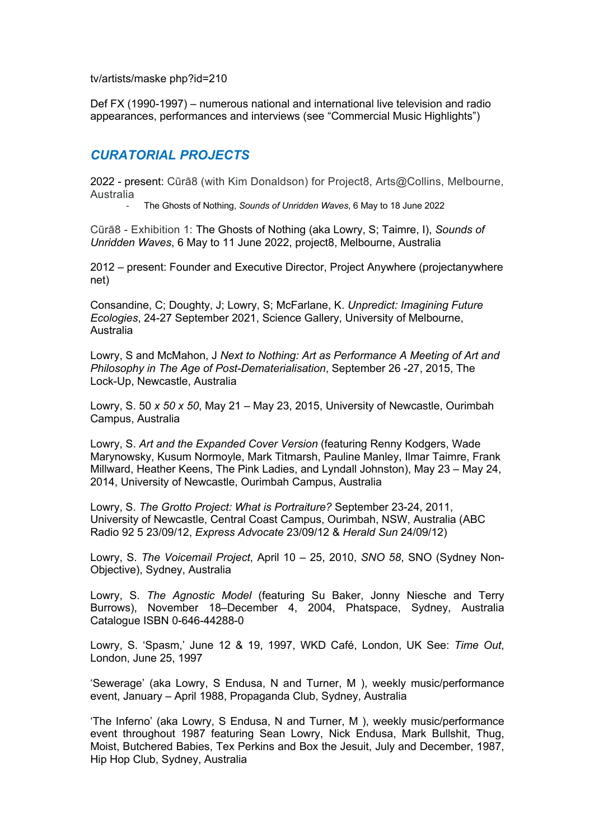tv/artists/maske php?id=210

Def FX (1990-1997) – numerous national and international live television and radio appearances, performances and interviews (see "Commercial Music Highlights")

## *CURATORIAL PROJECTS*

2022 - present: Cūrā8 (with Kim Donaldson) for Project8, Arts@Collins, Melbourne, Australia- The Ghosts of Nothing, *Sounds of Unridden Waves*, <sup>6</sup> May to 18 June 2022

Cūrā8 - Exhibition 1: The Ghosts of Nothing (aka Lowry, S; Taimre, I), *Sounds of Unridden Waves*, 6 May to 11 June 2022, project8, Melbourne, Australia

2012 – present: Founder and Executive Director, Project Anywhere (projectanywhere net)

Consandine, C; Doughty, J; Lowry, S; McFarlane, K. *Unpredict: Imagining Future Ecologies*, 24-27 September 2021, Science Gallery, University of Melbourne, Australia

Lowry, S and McMahon, J *Next to Nothing: Art as Performance A Meeting of Art and Philosophy in The Age of Post-Dematerialisation*, September 26 -27, 2015, The Lock-Up, Newcastle, Australia

Lowry, S. 50 *x 50 x 50*, May 21 – May 23, 2015, University of Newcastle, Ourimbah Campus, Australia

Lowry, S. *Art and the Expanded Cover Version* (featuring Renny Kodgers, Wade Marynowsky, Kusum Normoyle, Mark Titmarsh, Pauline Manley, Ilmar Taimre, Frank Millward, Heather Keens, The Pink Ladies, and Lyndall Johnston), May 23 – May 24, 2014, University of Newcastle, Ourimbah Campus, Australia

Lowry, S. *The Grotto Project: What is Portraiture?* September 23-24, 2011, University of Newcastle, Central Coast Campus, Ourimbah, NSW, Australia (ABC Radio 92 5 23/09/12, *Express Advocate* 23/09/12 & *Herald Sun* 24/09/12)

Lowry, S. *The Voicemail Project*, April 10 – 25, 2010, *SNO 58*, SNO (Sydney Non-Objective), Sydney, Australia

Lowry, S. *The Agnostic Model* (featuring Su Baker, Jonny Niesche and Terry Burrows), November 18–December 4, 2004, Phatspace, Sydney, Australia Catalogue ISBN 0-646-44288-0

Lowry, S. 'Spasm,' June 12 & 19, 1997, WKD Café, London, UK See: *Time Out*, London, June 25, 1997

'Sewerage' (aka Lowry, S Endusa, N and Turner, M ), weekly music/performance event, January – April 1988, Propaganda Club, Sydney, Australia

'The Inferno' (aka Lowry, S Endusa, N and Turner, M ), weekly music/performance event throughout 1987 featuring Sean Lowry, Nick Endusa, Mark Bullshit, Thug, Moist, Butchered Babies, Tex Perkins and Box the Jesuit, July and December, 1987, Hip Hop Club, Sydney, Australia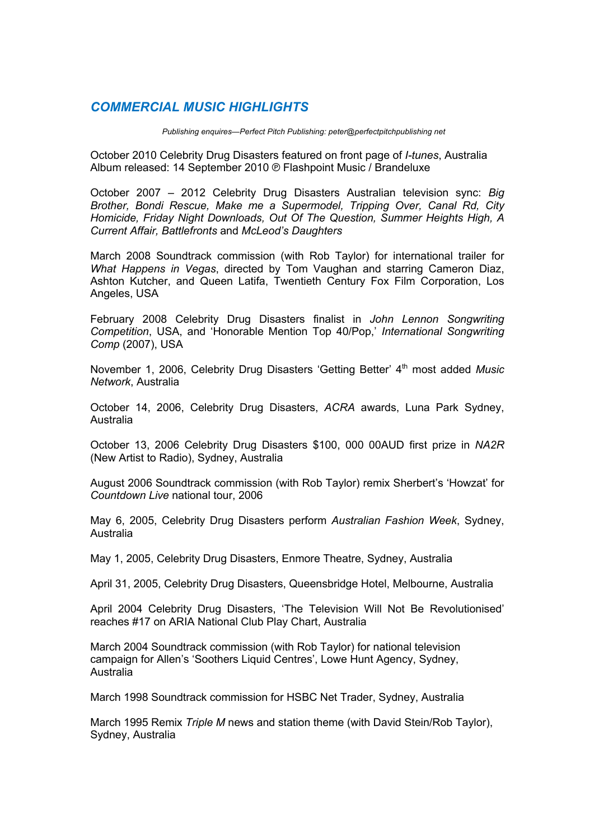## *COMMERCIAL MUSIC HIGHLIGHTS*

*Publishing enquires—Perfect Pitch Publishing: peter@perfectpitchpublishing net*

October 2010 Celebrity Drug Disasters featured on front page of *I-tunes*, Australia Album released: 14 September 2010 ℗ Flashpoint Music / Brandeluxe

October 2007 – 2012 Celebrity Drug Disasters Australian television sync: *Big Brother, Bondi Rescue, Make me a Supermodel, Tripping Over, Canal Rd, City Homicide, Friday Night Downloads, Out Of The Question, Summer Heights High, A Current Affair, Battlefronts* and *McLeod's Daughters*

March 2008 Soundtrack commission (with Rob Taylor) for international trailer for *What Happens in Vegas*, directed by Tom Vaughan and starring Cameron Diaz, Ashton Kutcher, and Queen Latifa, Twentieth Century Fox Film Corporation, Los Angeles, USA

February 2008 Celebrity Drug Disasters finalist in *John Lennon Songwriting Competition*, USA, and 'Honorable Mention Top 40/Pop,' *International Songwriting Comp* (2007), USA

November 1, 2006, Celebrity Drug Disasters 'Getting Better' 4<sup>th</sup> most added *Music Network*, Australia

October 14, 2006, Celebrity Drug Disasters, *ACRA* awards, Luna Park Sydney, Australia

October 13, 2006 Celebrity Drug Disasters \$100, 000 00AUD first prize in *NA2R*  (New Artist to Radio), Sydney, Australia

August 2006 Soundtrack commission (with Rob Taylor) remix Sherbert's 'Howzat' for *Countdown Live* national tour, 2006

May 6, 2005, Celebrity Drug Disasters perform *Australian Fashion Week*, Sydney, Australia

May 1, 2005, Celebrity Drug Disasters, Enmore Theatre, Sydney, Australia

April 31, 2005, Celebrity Drug Disasters, Queensbridge Hotel, Melbourne, Australia

April 2004 Celebrity Drug Disasters, 'The Television Will Not Be Revolutionised' reaches #17 on ARIA National Club Play Chart, Australia

March 2004 Soundtrack commission (with Rob Taylor) for national television campaign for Allen's 'Soothers Liquid Centres', Lowe Hunt Agency, Sydney, Australia

March 1998 Soundtrack commission for HSBC Net Trader, Sydney, Australia

March 1995 Remix *Triple M* news and station theme (with David Stein/Rob Taylor), Sydney, Australia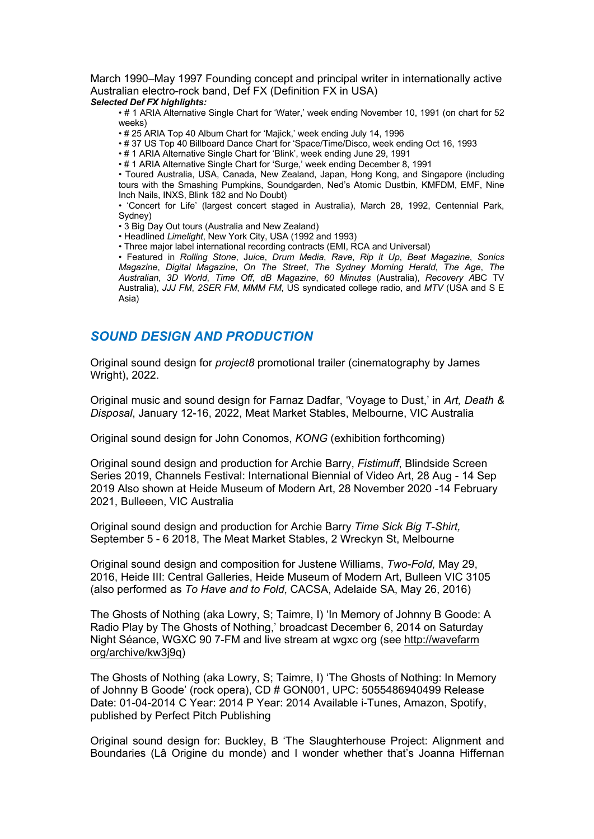March 1990–May 1997 Founding concept and principal writer in internationally active Australian electro-rock band, Def FX (Definition FX in USA) *Selected Def FX highlights:*

• # 1 ARIA Alternative Single Chart for 'Water,' week ending November 10, 1991 (on chart for 52 weeks)

• # 25 ARIA Top 40 Album Chart for 'Majick,' week ending July 14, 1996

• # 37 US Top 40 Billboard Dance Chart for 'Space/Time/Disco, week ending Oct 16, 1993

• # 1 ARIA Alternative Single Chart for 'Blink', week ending June 29, 1991

• # 1 ARIA Alternative Single Chart for 'Surge,' week ending December 8, 1991

• Toured Australia, USA, Canada, New Zealand, Japan, Hong Kong, and Singapore (including tours with the Smashing Pumpkins, Soundgarden, Ned's Atomic Dustbin, KMFDM, EMF, Nine Inch Nails, INXS, Blink 182 and No Doubt)

• 'Concert for Life' (largest concert staged in Australia), March 28, 1992, Centennial Park, Sydney)

• 3 Big Day Out tours (Australia and New Zealand)

• Headlined *Limelight*, New York City, USA (1992 and 1993)

• Three major label international recording contracts (EMI, RCA and Universal)

• Featured in *Rolling Stone*, J*uice*, *Drum Media*, *Rave*, *Rip it Up*, *Beat Magazine*, *Sonics Magazine*, *Digital Magazine*, *On The Street*, *The Sydney Morning Herald*, *The Age*, *The Australian*, *3D World*, *Time Off*, *dB Magazine*, *60 Minutes* (Australia), *Recovery A*BC TV Australia), *JJJ FM*, *2SER FM*, *MMM FM*, US syndicated college radio, and *MTV* (USA and S E Asia)

#### *SOUND DESIGN AND PRODUCTION*

Original sound design for *project8* promotional trailer (cinematography by James Wright), 2022.

Original music and sound design for Farnaz Dadfar, 'Voyage to Dust,' in *Art, Death & Disposal*, January 12-16, 2022, Meat Market Stables, Melbourne, VIC Australia

Original sound design for John Conomos, *KONG* (exhibition forthcoming)

Original sound design and production for Archie Barry, *Fistimuff*, Blindside Screen Series 2019, Channels Festival: International Biennial of Video Art, 28 Aug - 14 Sep 2019 Also shown at Heide Museum of Modern Art, 28 November 2020 -14 February 2021, Bulleeen, VIC Australia

Original sound design and production for Archie Barry *Time Sick Big T-Shirt,*  September 5 - 6 2018, The Meat Market Stables, 2 Wreckyn St, Melbourne

Original sound design and composition for Justene Williams, *Two-Fold,* May 29, 2016, Heide III: Central Galleries, Heide Museum of Modern Art, Bulleen VIC 3105 (also performed as *To Have and to Fold*, CACSA, Adelaide SA, May 26, 2016)

The Ghosts of Nothing (aka Lowry, S; Taimre, I) 'In Memory of Johnny B Goode: A Radio Play by The Ghosts of Nothing,' broadcast December 6, 2014 on Saturday Night Séance, WGXC 90 7-FM and live stream at wgxc org (see http://wavefarm org/archive/kw3j9q)

The Ghosts of Nothing (aka Lowry, S; Taimre, I) 'The Ghosts of Nothing: In Memory of Johnny B Goode' (rock opera), CD # GON001, UPC: 5055486940499 Release Date: 01-04-2014 C Year: 2014 P Year: 2014 Available i-Tunes, Amazon, Spotify, published by Perfect Pitch Publishing

Original sound design for: Buckley, B 'The Slaughterhouse Project: Alignment and Boundaries (Lâ Origine du monde) and I wonder whether that's Joanna Hiffernan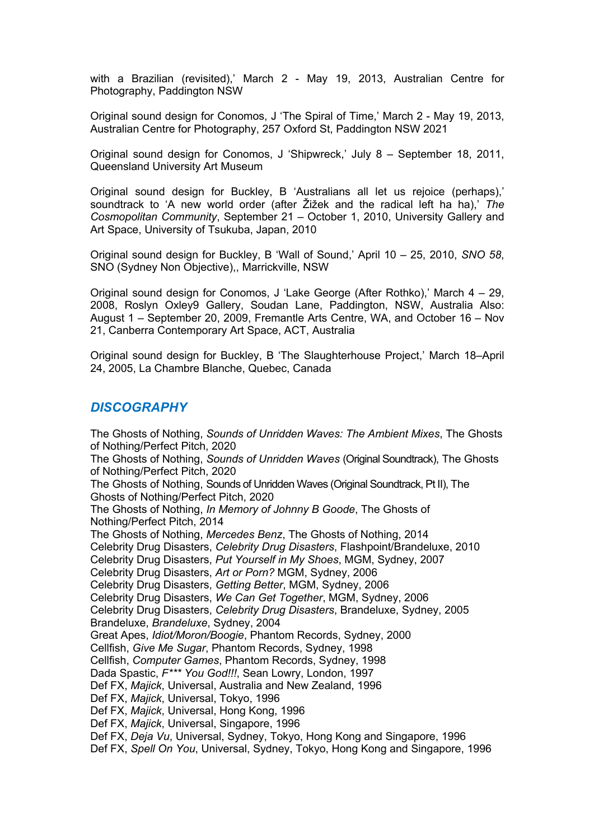with a Brazilian (revisited),' March 2 - May 19, 2013, Australian Centre for Photography, Paddington NSW

Original sound design for Conomos, J 'The Spiral of Time,' March 2 - May 19, 2013, Australian Centre for Photography, 257 Oxford St, Paddington NSW 2021

Original sound design for Conomos, J 'Shipwreck,' July 8 – September 18, 2011, Queensland University Art Museum

Original sound design for Buckley, B 'Australians all let us rejoice (perhaps),' soundtrack to 'A new world order (after Žižek and the radical left ha ha),' *The Cosmopolitan Community*, September 21 – October 1, 2010, University Gallery and Art Space, University of Tsukuba, Japan, 2010

Original sound design for Buckley, B 'Wall of Sound,' April 10 – 25, 2010, *SNO 58*, SNO (Sydney Non Objective),, Marrickville, NSW

Original sound design for Conomos, J 'Lake George (After Rothko),' March 4 – 29, 2008, Roslyn Oxley9 Gallery, Soudan Lane, Paddington, NSW, Australia Also: August 1 – September 20, 2009, Fremantle Arts Centre, WA, and October 16 – Nov 21, Canberra Contemporary Art Space, ACT, Australia

Original sound design for Buckley, B 'The Slaughterhouse Project,' March 18–April 24, 2005, La Chambre Blanche, Quebec, Canada

#### *DISCOGRAPHY*

The Ghosts of Nothing, *Sounds of Unridden Waves: The Ambient Mixes*, The Ghosts of Nothing/Perfect Pitch, 2020 The Ghosts of Nothing, *Sounds of Unridden Waves* (Original Soundtrack), The Ghosts of Nothing/Perfect Pitch, 2020 The Ghosts of Nothing, Sounds of Unridden Waves (Original Soundtrack, Pt II), The Ghosts of Nothing/Perfect Pitch, 2020 The Ghosts of Nothing, *In Memory of Johnny B Goode*, The Ghosts of Nothing/Perfect Pitch, 2014 The Ghosts of Nothing, *Mercedes Benz*, The Ghosts of Nothing, 2014 Celebrity Drug Disasters, *Celebrity Drug Disasters*, Flashpoint/Brandeluxe, 2010 Celebrity Drug Disasters, *Put Yourself in My Shoes*, MGM, Sydney, 2007 Celebrity Drug Disasters, *Art or Porn?* MGM, Sydney, 2006 Celebrity Drug Disasters, *Getting Better*, MGM, Sydney, 2006 Celebrity Drug Disasters, *We Can Get Together*, MGM, Sydney, 2006 Celebrity Drug Disasters, *Celebrity Drug Disasters*, Brandeluxe, Sydney, 2005 Brandeluxe, *Brandeluxe*, Sydney, 2004 Great Apes, *Idiot/Moron/Boogie*, Phantom Records, Sydney, 2000 Cellfish, *Give Me Sugar*, Phantom Records, Sydney, 1998 Cellfish, *Computer Games*, Phantom Records, Sydney, 1998 Dada Spastic, *F\*\*\* You God!!!*, Sean Lowry, London, 1997 Def FX, *Majick*, Universal, Australia and New Zealand, 1996 Def FX, *Majick*, Universal, Tokyo, 1996 Def FX, *Majick*, Universal, Hong Kong, 1996 Def FX, *Majick*, Universal, Singapore, 1996 Def FX, *Deja Vu*, Universal, Sydney, Tokyo, Hong Kong and Singapore, 1996 Def FX, *Spell On You*, Universal, Sydney, Tokyo, Hong Kong and Singapore, 1996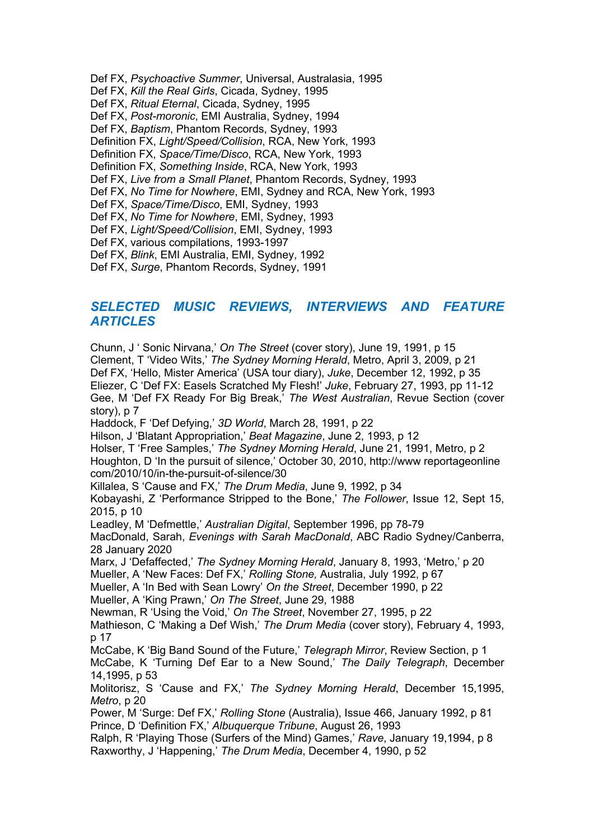- Def FX, *Psychoactive Summer*, Universal, Australasia, 1995
- Def FX, *Kill the Real Girls*, Cicada, Sydney, 1995
- Def FX, *Ritual Eternal*, Cicada, Sydney, 1995
- Def FX, *Post-moronic*, EMI Australia, Sydney, 1994
- Def FX, *Baptism*, Phantom Records, Sydney, 1993
- Definition FX, *Light/Speed/Collision*, RCA, New York, 1993
- Definition FX, *Space/Time/Disco*, RCA, New York, 1993
- Definition FX, *Something Inside*, RCA, New York, 1993
- Def FX, *Live from a Small Planet*, Phantom Records, Sydney, 1993
- Def FX, *No Time for Nowhere*, EMI, Sydney and RCA, New York, 1993
- Def FX, *Space/Time/Disco*, EMI, Sydney, 1993
- Def FX, *No Time for Nowhere*, EMI, Sydney, 1993
- Def FX, *Light/Speed/Collision*, EMI, Sydney, 1993
- Def FX, various compilations, 1993-1997
- Def FX, *Blink*, EMI Australia, EMI, Sydney, 1992
- Def FX, *Surge*, Phantom Records, Sydney, 1991

#### *SELECTED MUSIC REVIEWS, INTERVIEWS AND FEATURE ARTICLES*

Chunn, J ' Sonic Nirvana,' *On The Street* (cover story), June 19, 1991, p 15 Clement, T 'Video Wits,' *The Sydney Morning Herald*, Metro, April 3, 2009, p 21 Def FX, 'Hello, Mister America' (USA tour diary), *Juke*, December 12, 1992, p 35 Eliezer, C 'Def FX: Easels Scratched My Flesh!' *Juke*, February 27, 1993, pp 11-12 Gee, M 'Def FX Ready For Big Break,' *The West Australian*, Revue Section (cover story), p 7 Haddock, F 'Def Defying,' *3D World*, March 28, 1991, p 22 Hilson, J 'Blatant Appropriation,' *Beat Magazine*, June 2, 1993, p 12 Holser, T 'Free Samples,' *The Sydney Morning Herald*, June 21, 1991, Metro, p 2 Houghton, D 'In the pursuit of silence,' October 30, 2010, http://www reportageonline com/2010/10/in-the-pursuit-of-silence/30 Killalea, S 'Cause and FX,' *The Drum Media*, June 9, 1992, p 34 Kobayashi, Z 'Performance Stripped to the Bone,' *The Follower*, Issue 12, Sept 15, 2015, p 10 Leadley, M 'Defmettle,' *Australian Digital*, September 1996, pp 78-79 MacDonald, Sarah, *Evenings with Sarah MacDonald*, ABC Radio Sydney/Canberra, 28 January 2020 Marx, J 'Defaffected,' *The Sydney Morning Herald*, January 8, 1993, 'Metro,' p 20 Mueller, A 'New Faces: Def FX,' *Rolling Stone,* Australia, July 1992, p 67 Mueller, A 'In Bed with Sean Lowry' *On the Street*, December 1990, p 22 Mueller, A 'King Prawn,' *On The Street*, June 29, 1988 Newman, R 'Using the Void,' *On The Street*, November 27, 1995, p 22 Mathieson, C 'Making a Def Wish,' *The Drum Media* (cover story), February 4, 1993, p 17 McCabe, K 'Big Band Sound of the Future,' *Telegraph Mirror*, Review Section, p 1 McCabe, K 'Turning Def Ear to a New Sound,' *The Daily Telegraph*, December 14,1995, p 53 Molitorisz, S 'Cause and FX,' *The Sydney Morning Herald*, December 15,1995, *Metro*, p 20 Power, M 'Surge: Def FX,' *Rolling Stone* (Australia), Issue 466, January 1992, p 81 Prince, D 'Definition FX,' *Albuquerque Tribune*, August 26, 1993 Ralph, R 'Playing Those (Surfers of the Mind) Games,' *Rave*, January 19,1994, p 8 Raxworthy, J 'Happening,' *The Drum Media*, December 4, 1990, p 52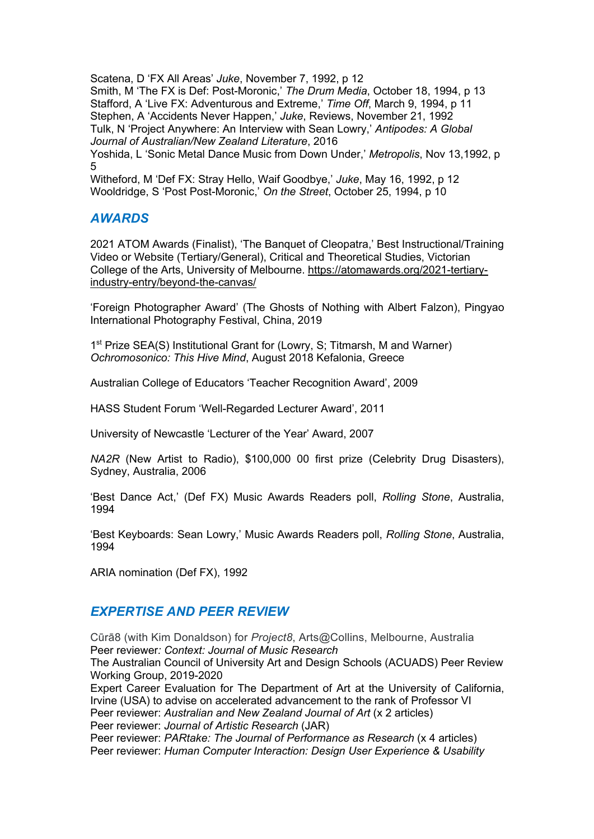Scatena, D 'FX All Areas' *Juke*, November 7, 1992, p 12 Smith, M 'The FX is Def: Post-Moronic,' *The Drum Media*, October 18, 1994, p 13 Stafford, A 'Live FX: Adventurous and Extreme,' *Time Off*, March 9, 1994, p 11 Stephen, A 'Accidents Never Happen,' *Juke*, Reviews, November 21, 1992 Tulk, N 'Project Anywhere: An Interview with Sean Lowry,' *Antipodes: A Global Journal of Australian/New Zealand Literature*, 2016 Yoshida, L 'Sonic Metal Dance Music from Down Under,' *Metropolis*, Nov 13,1992, p 5

Witheford, M 'Def FX: Stray Hello, Waif Goodbye,' *Juke*, May 16, 1992, p 12 Wooldridge, S 'Post Post-Moronic,' *On the Street*, October 25, 1994, p 10

# *AWARDS*

2021 ATOM Awards (Finalist), 'The Banquet of Cleopatra,' Best Instructional/Training Video or Website (Tertiary/General), Critical and Theoretical Studies, Victorian College of the Arts, University of Melbourne. https://atomawards.org/2021-tertiaryindustry-entry/beyond-the-canvas/

'Foreign Photographer Award' (The Ghosts of Nothing with Albert Falzon), Pingyao International Photography Festival, China, 2019

1<sup>st</sup> Prize SEA(S) Institutional Grant for (Lowry, S: Titmarsh, M and Warner) *Ochromosonico: This Hive Mind*, August 2018 Kefalonia, Greece

Australian College of Educators 'Teacher Recognition Award', 2009

HASS Student Forum 'Well-Regarded Lecturer Award', 2011

University of Newcastle 'Lecturer of the Year' Award, 2007

*NA2R* (New Artist to Radio), \$100,000 00 first prize (Celebrity Drug Disasters), Sydney, Australia, 2006

'Best Dance Act,' (Def FX) Music Awards Readers poll, *Rolling Stone*, Australia, 1994

'Best Keyboards: Sean Lowry,' Music Awards Readers poll, *Rolling Stone*, Australia, 1994

ARIA nomination (Def FX), 1992

# *EXPERTISE AND PEER REVIEW*

Cūrā8 (with Kim Donaldson) for *Project8*, Arts@Collins, Melbourne, Australia Peer reviewer*: Context: Journal of Music Research* The Australian Council of University Art and Design Schools (ACUADS) Peer Review Working Group, 2019-2020 Expert Career Evaluation for The Department of Art at the University of California, Irvine (USA) to advise on accelerated advancement to the rank of Professor VI Peer reviewer: *Australian and New Zealand Journal of Art* (x 2 articles) Peer reviewer: *Journal of Artistic Research* (JAR) Peer reviewer: *PARtake: The Journal of Performance as Research* (x 4 articles) Peer reviewer: *Human Computer Interaction: Design User Experience & Usability*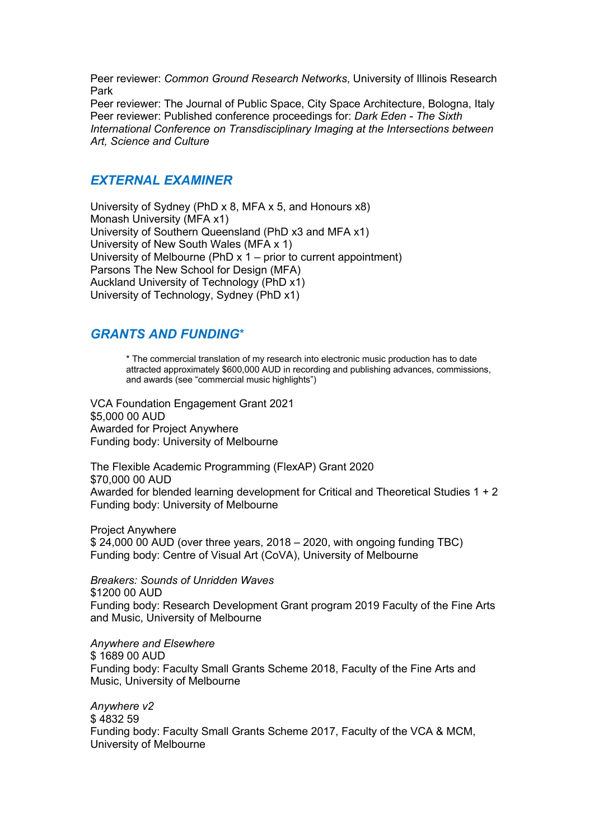Peer reviewer: *Common Ground Research Networks*, University of Illinois Research Park

Peer reviewer: The Journal of Public Space, City Space Architecture, Bologna, Italy Peer reviewer: Published conference proceedings for: *Dark Eden - The Sixth International Conference on Transdisciplinary Imaging at the Intersections between Art, Science and Culture*

## *EXTERNAL EXAMINER*

University of Sydney (PhD x 8, MFA x 5, and Honours x8) Monash University (MFA x1) University of Southern Queensland (PhD x3 and MFA x1) University of New South Wales (MFA x 1) University of Melbourne (PhD x 1 – prior to current appointment) Parsons The New School for Design (MFA) Auckland University of Technology (PhD x1) University of Technology, Sydney (PhD x1)

#### *GRANTS AND FUNDING*\*

\* The commercial translation of my research into electronic music production has to date attracted approximately \$600,000 AUD in recording and publishing advances, commissions, and awards (see "commercial music highlights")

VCA Foundation Engagement Grant 2021 \$5,000 00 AUD Awarded for Project Anywhere Funding body: University of Melbourne

The Flexible Academic Programming (FlexAP) Grant 2020 \$70,000 00 AUD Awarded for blended learning development for Critical and Theoretical Studies 1 + 2 Funding body: University of Melbourne

Project Anywhere \$ 24,000 00 AUD (over three years, 2018 – 2020, with ongoing funding TBC) Funding body: Centre of Visual Art (CoVA), University of Melbourne

*Breakers: Sounds of Unridden Waves* \$1200 00 AUD Funding body: Research Development Grant program 2019 Faculty of the Fine Arts and Music, University of Melbourne

*Anywhere and Elsewhere* \$ 1689 00 AUD Funding body: Faculty Small Grants Scheme 2018, Faculty of the Fine Arts and Music, University of Melbourne

*Anywhere v2* \$ 4832 59 Funding body: Faculty Small Grants Scheme 2017, Faculty of the VCA & MCM, University of Melbourne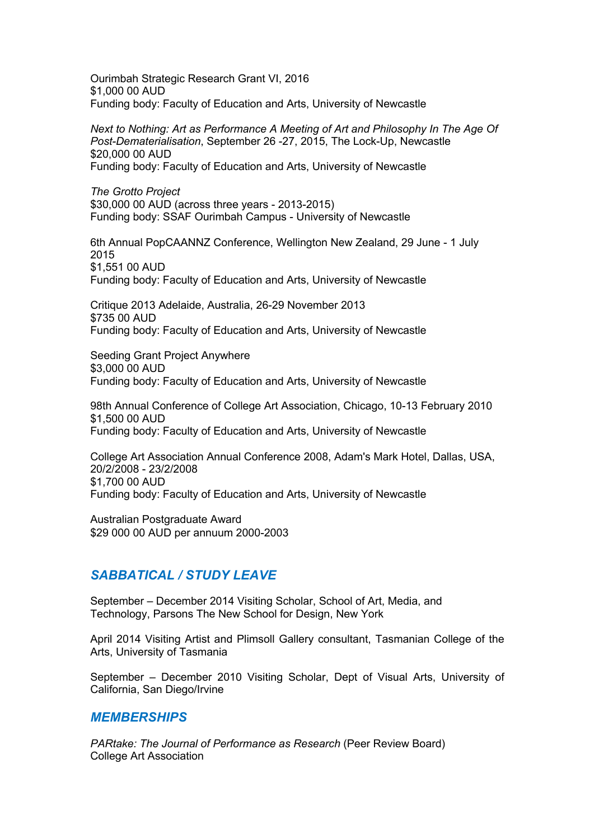Ourimbah Strategic Research Grant VI, 2016 \$1,000 00 AUD Funding body: Faculty of Education and Arts, University of Newcastle

*Next to Nothing: Art as Performance A Meeting of Art and Philosophy In The Age Of Post-Dematerialisation*, September 26 -27, 2015, The Lock-Up, Newcastle \$20,000 00 AUD Funding body: Faculty of Education and Arts, University of Newcastle

*The Grotto Project* \$30,000 00 AUD (across three years - 2013-2015) Funding body: SSAF Ourimbah Campus - University of Newcastle

6th Annual PopCAANNZ Conference, Wellington New Zealand, 29 June - 1 July 2015 \$1,551 00 AUD Funding body: Faculty of Education and Arts, University of Newcastle

Critique 2013 Adelaide, Australia, 26-29 November 2013 \$735 00 AUD Funding body: Faculty of Education and Arts, University of Newcastle

Seeding Grant Project Anywhere \$3,000 00 AUD Funding body: Faculty of Education and Arts, University of Newcastle

98th Annual Conference of College Art Association, Chicago, 10-13 February 2010 \$1,500 00 AUD Funding body: Faculty of Education and Arts, University of Newcastle

College Art Association Annual Conference 2008, Adam's Mark Hotel, Dallas, USA, 20/2/2008 - 23/2/2008 \$1,700 00 AUD Funding body: Faculty of Education and Arts, University of Newcastle

Australian Postgraduate Award \$29 000 00 AUD per annuum 2000-2003

# *SABBATICAL / STUDY LEAVE*

September – December 2014 Visiting Scholar, School of Art, Media, and Technology, Parsons The New School for Design, New York

April 2014 Visiting Artist and Plimsoll Gallery consultant, Tasmanian College of the Arts, University of Tasmania

September – December 2010 Visiting Scholar, Dept of Visual Arts, University of California, San Diego/Irvine

#### *MEMBERSHIPS*

*PARtake: The Journal of Performance as Research* (Peer Review Board) College Art Association